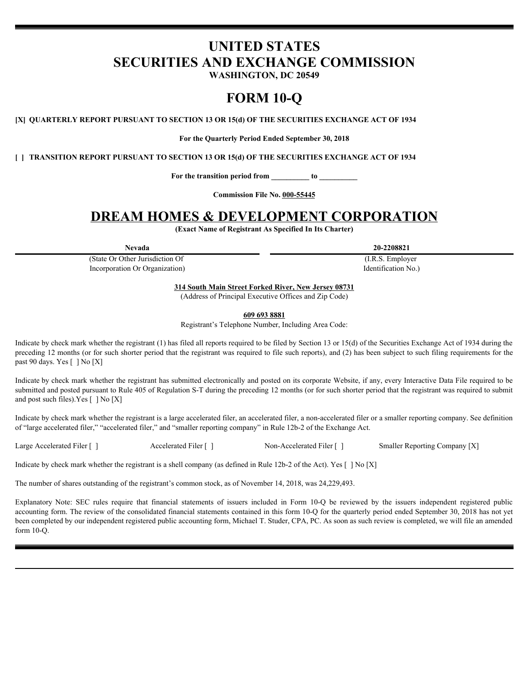# **UNITED STATES SECURITIES AND EXCHANGE COMMISSION**

**WASHINGTON, DC 20549**

# **FORM 10-Q**

**[X] QUARTERLY REPORT PURSUANT TO SECTION 13 OR 15(d) OF THE SECURITIES EXCHANGE ACT OF 1934**

**For the Quarterly Period Ended September 30, 2018**

**[ ] TRANSITION REPORT PURSUANT TO SECTION 13 OR 15(d) OF THE SECURITIES EXCHANGE ACT OF 1934**

**For the transition period from \_\_\_\_\_\_\_\_\_\_ to \_\_\_\_\_\_\_\_\_\_**

**Commission File No. 000-55445**

# **DREAM HOMES & DEVELOPMENT CORPORATION**

**(Exact Name of Registrant As Specified In Its Charter)**

(State Or Other Jurisdiction Of Incorporation Or Organization)

**Nevada 20-2208821**

(I.R.S. Employer Identification No.)

**314 South Main Street Forked River, New Jersey 08731**

(Address of Principal Executive Offices and Zip Code)

**609 693 8881**

Registrant's Telephone Number, Including Area Code:

Indicate by check mark whether the registrant (1) has filed all reports required to be filed by Section 13 or 15(d) of the Securities Exchange Act of 1934 during the preceding 12 months (or for such shorter period that the registrant was required to file such reports), and (2) has been subject to such filing requirements for the past 90 days. Yes [ ] No [X]

Indicate by check mark whether the registrant has submitted electronically and posted on its corporate Website, if any, every Interactive Data File required to be submitted and posted pursuant to Rule 405 of Regulation S-T during the preceding 12 months (or for such shorter period that the registrant was required to submit and post such files).Yes [ ] No [X]

Indicate by check mark whether the registrant is a large accelerated filer, an accelerated filer, a non-accelerated filer or a smaller reporting company. See definition of "large accelerated filer," "accelerated filer," and "smaller reporting company" in Rule 12b-2 of the Exchange Act.

Large Accelerated Filer [ ] Accelerated Filer [ ] Non-Accelerated Filer [ ] Smaller Reporting Company [X]

Indicate by check mark whether the registrant is a shell company (as defined in Rule 12b-2 of the Act). Yes  $[ \ ]$  No  $[X]$ 

The number of shares outstanding of the registrant's common stock, as of November 14, 2018, was 24,229,493.

**EXPLAIM THOWELL AS DEVELOCAT TOWER AND HOTEL AND THE CONSECUTED THE CONSECUTED THAT AND ARREST TOWERS IN THE CONSECUTED THE CONSECUTED THE CONSECUTED THE CONSECUTED THE CONSECUTED THE CONSECUTED THE CONSECUTED THE CONSEC** accounting form. The review of the consolidated financial statements contained in this form 10-Q for the quarterly period ended September 30, 2018 has not yet been completed by our independent registered public accounting form, Michael T. Studer, CPA, PC. As soon as such review is completed, we will file an amended form 10-Q.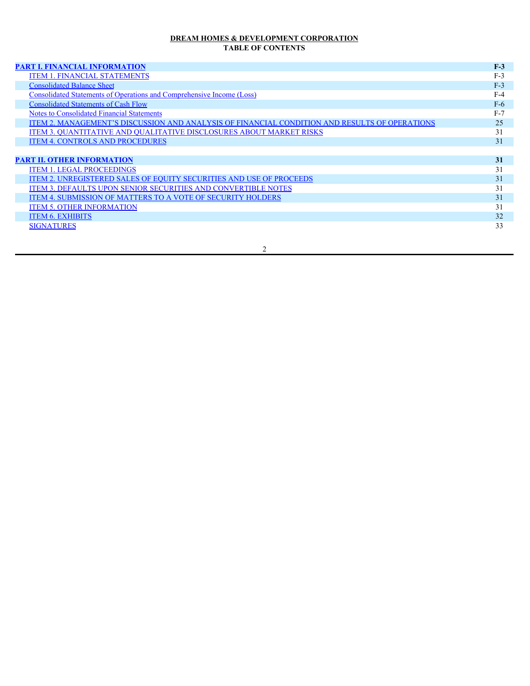## **DREAM HOMES & DEVELOPMENT CORPORATION TABLE OF CONTENTS**

# **[PART I. FINANCIAL INFORMATION](#page-2-0) F-3**

| <b>ITEM 1. FINANCIAL STATEMENTS</b>                                                           | $F-3$ |
|-----------------------------------------------------------------------------------------------|-------|
| <b>Consolidated Balance Sheet</b>                                                             | $F-3$ |
| <b>Consolidated Statements of Operations and Comprehensive Income (Loss)</b>                  | $F-4$ |
| <b>Consolidated Statements of Cash Flow</b>                                                   | $F-6$ |
| <b>Notes to Consolidated Financial Statements</b>                                             | $F-7$ |
| ITEM 2. MANAGEMENT'S DISCUSSION AND ANALYSIS OF FINANCIAL CONDITION AND RESULTS OF OPERATIONS | 25    |
| <b>ITEM 3. QUANTITATIVE AND QUALITATIVE DISCLOSURES ABOUT MARKET RISKS</b>                    | 31    |
| <b>ITEM 4. CONTROLS AND PROCEDURES</b>                                                        | 31    |
|                                                                                               |       |
| <b>PART II. OTHER INFORMATION</b>                                                             | 31    |
| <b>ITEM 1. LEGAL PROCEEDINGS</b>                                                              | 31    |
| <b>ITEM 2. UNREGISTERED SALES OF EQUITY SECURITIES AND USE OF PROCEEDS</b>                    | 31    |
| <b>ITEM 3. DEFAULTS UPON SENIOR SECURITIES AND CONVERTIBLE NOTES</b>                          | 31    |
| ITEM 4. SUBMISSION OF MATTERS TO A VOTE OF SECURITY HOLDERS                                   | 31    |
| <b>ITEM 5. OTHER INFORMATION</b>                                                              | 31    |
| <b>ITEM 6. EXHIBITS</b>                                                                       | 32    |
| <b>SIGNATURES</b>                                                                             | 33    |
|                                                                                               |       |

2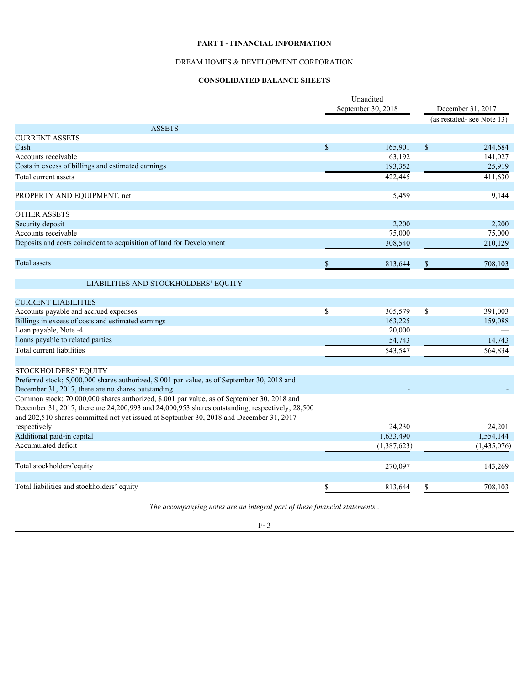# **PART 1 - FINANCIAL INFORMATION**

## DREAM HOMES & DEVELOPMENT CORPORATION

## **CONSOLIDATED BALANCE SHEETS**

<span id="page-2-1"></span><span id="page-2-0"></span>

|                                                                                                      | Unaudited<br>September 30, 2018 |             | December 31, 2017 |                           |  |
|------------------------------------------------------------------------------------------------------|---------------------------------|-------------|-------------------|---------------------------|--|
|                                                                                                      |                                 |             |                   |                           |  |
|                                                                                                      |                                 |             |                   | (as restated-see Note 13) |  |
| <b>ASSETS</b>                                                                                        |                                 |             |                   |                           |  |
| <b>CURRENT ASSETS</b>                                                                                |                                 |             |                   |                           |  |
| Cash                                                                                                 | $\mathcal{S}$                   | 165,901     | $\mathcal{S}$     | 244,684                   |  |
| Accounts receivable                                                                                  |                                 | 63,192      |                   | 141,027                   |  |
| Costs in excess of billings and estimated earnings                                                   |                                 | 193,352     |                   | 25,919                    |  |
| Total current assets                                                                                 |                                 | 422,445     |                   | 411,630                   |  |
|                                                                                                      |                                 |             |                   |                           |  |
| PROPERTY AND EQUIPMENT, net                                                                          |                                 | 5,459       |                   | 9,144                     |  |
|                                                                                                      |                                 |             |                   |                           |  |
| <b>OTHER ASSETS</b>                                                                                  |                                 |             |                   |                           |  |
| Security deposit                                                                                     |                                 | 2,200       |                   | 2,200                     |  |
| Accounts receivable                                                                                  |                                 | 75,000      |                   | 75,000                    |  |
| Deposits and costs coincident to acquisition of land for Development                                 |                                 | 308,540     |                   | 210,129                   |  |
|                                                                                                      |                                 |             |                   |                           |  |
| <b>Total</b> assets                                                                                  |                                 | 813,644     |                   | 708,103                   |  |
|                                                                                                      |                                 |             |                   |                           |  |
| LIABILITIES AND STOCKHOLDERS' EQUITY                                                                 |                                 |             |                   |                           |  |
|                                                                                                      |                                 |             |                   |                           |  |
| <b>CURRENT LIABILITIES</b>                                                                           |                                 |             |                   |                           |  |
| Accounts payable and accrued expenses                                                                | $\mathbb{S}$                    | 305,579     | <sup>S</sup>      | 391,003                   |  |
| Billings in excess of costs and estimated earnings                                                   |                                 | 163,225     |                   | 159,088                   |  |
| Loan payable, Note -4                                                                                |                                 | 20,000      |                   |                           |  |
| Loans payable to related parties                                                                     |                                 | 54,743      |                   | 14,743                    |  |
| Total current liabilities                                                                            |                                 | 543,547     |                   | 564,834                   |  |
|                                                                                                      |                                 |             |                   |                           |  |
| STOCKHOLDERS' EQUITY                                                                                 |                                 |             |                   |                           |  |
| Preferred stock; 5,000,000 shares authorized, \$.001 par value, as of September 30, 2018 and         |                                 |             |                   |                           |  |
| December 31, 2017, there are no shares outstanding                                                   |                                 |             |                   |                           |  |
| Common stock; 70,000,000 shares authorized, \$.001 par value, as of September 30, 2018 and           |                                 |             |                   |                           |  |
| December 31, 2017, there are 24, 200, 993 and 24, 000, 953 shares outstanding, respectively; 28, 500 |                                 |             |                   |                           |  |
| and 202,510 shares committed not yet issued at September 30, 2018 and December 31, 2017              |                                 |             |                   |                           |  |
| respectively                                                                                         |                                 | 24,230      |                   | 24,201                    |  |
| Additional paid-in capital                                                                           |                                 | 1,633,490   |                   | 1,554,144                 |  |
| Accumulated deficit                                                                                  |                                 | (1,387,623) |                   | (1,435,076)               |  |
|                                                                                                      |                                 |             |                   |                           |  |
| Total stockholders' equity                                                                           |                                 |             |                   |                           |  |
|                                                                                                      |                                 | 270,097     |                   | 143,269                   |  |
|                                                                                                      |                                 |             |                   |                           |  |
| Total liabilities and stockholders' equity                                                           |                                 | 813,644     |                   | 708,103                   |  |
|                                                                                                      |                                 |             |                   |                           |  |

*The accompanying notes are an integral part of these financial statements* .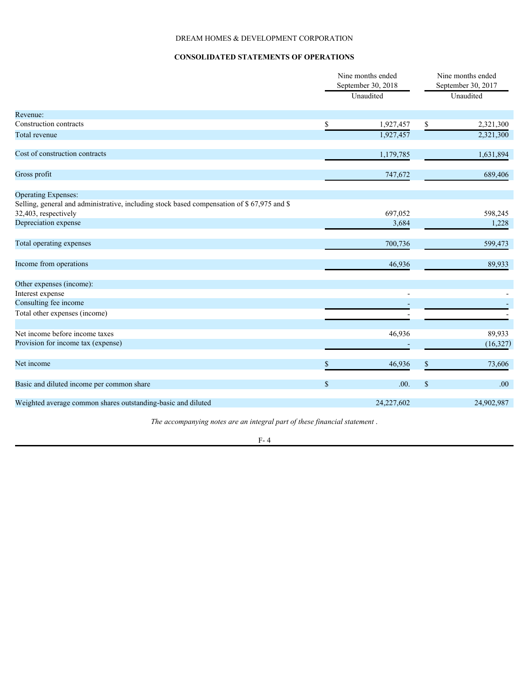# DREAM HOMES & DEVELOPMENT CORPORATION

# **CONSOLIDATED STATEMENTS OF OPERATIONS**

<span id="page-3-0"></span>

|                                                                                             | Nine months ended<br>September 30, 2018 |            |              | Nine months ended<br>September 30, 2017 |
|---------------------------------------------------------------------------------------------|-----------------------------------------|------------|--------------|-----------------------------------------|
|                                                                                             |                                         | Unaudited  |              | Unaudited                               |
| Revenue:                                                                                    |                                         |            |              |                                         |
| Construction contracts                                                                      | $\mathbf S$                             | 1,927,457  | $\mathbb{S}$ | 2,321,300                               |
| Total revenue                                                                               |                                         | 1,927,457  |              | 2,321,300                               |
| Cost of construction contracts                                                              |                                         | 1,179,785  |              | 1,631,894                               |
| Gross profit                                                                                |                                         | 747,672    |              | 689,406                                 |
| <b>Operating Expenses:</b>                                                                  |                                         |            |              |                                         |
| Selling, general and administrative, including stock based compensation of \$ 67,975 and \$ |                                         |            |              |                                         |
| 32,403, respectively                                                                        |                                         | 697,052    |              | 598,245                                 |
| Depreciation expense                                                                        |                                         | 3,684      |              | 1,228                                   |
| Total operating expenses                                                                    |                                         | 700,736    |              | 599,473                                 |
| Income from operations                                                                      |                                         | 46,936     |              | 89,933                                  |
| Other expenses (income):                                                                    |                                         |            |              |                                         |
| Interest expense                                                                            |                                         |            |              |                                         |
| Consulting fee income                                                                       |                                         |            |              |                                         |
| Total other expenses (income)                                                               |                                         |            |              |                                         |
| Net income before income taxes                                                              |                                         | 46,936     |              | 89,933                                  |
| Provision for income tax (expense)                                                          |                                         |            |              | (16, 327)                               |
| Net income                                                                                  | ¢                                       | 46,936     | \$           | 73,606                                  |
| Basic and diluted income per common share                                                   | $\mathbb{S}$                            | .00.       | $\mathbb{S}$ | .00.                                    |
| Weighted average common shares outstanding-basic and diluted                                |                                         | 24,227,602 |              | 24,902,987                              |
|                                                                                             |                                         |            |              |                                         |

*The accompanying notes are an integral part of these financial statement* .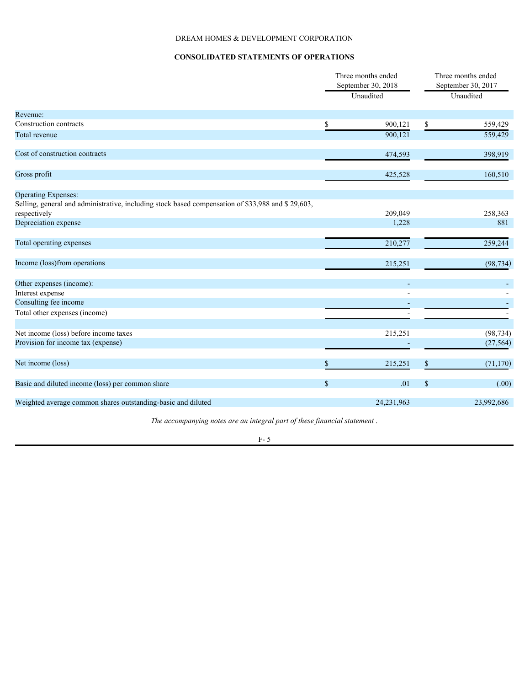# DREAM HOMES & DEVELOPMENT CORPORATION

# **CONSOLIDATED STATEMENTS OF OPERATIONS**

|                                                                                                   | Three months ended<br>September 30, 2018 |            | Three months ended<br>September 30, 2017 |            |  |
|---------------------------------------------------------------------------------------------------|------------------------------------------|------------|------------------------------------------|------------|--|
|                                                                                                   | Unaudited                                |            | Unaudited                                |            |  |
| Revenue:                                                                                          |                                          |            |                                          |            |  |
| Construction contracts                                                                            | \$                                       | 900,121    | \$                                       | 559,429    |  |
| Total revenue                                                                                     |                                          | 900,121    |                                          | 559,429    |  |
| Cost of construction contracts                                                                    |                                          | 474,593    |                                          | 398,919    |  |
| Gross profit                                                                                      |                                          | 425,528    |                                          | 160,510    |  |
| <b>Operating Expenses:</b>                                                                        |                                          |            |                                          |            |  |
| Selling, general and administrative, including stock based compensation of \$33,988 and \$29,603, |                                          |            |                                          |            |  |
| respectively                                                                                      |                                          | 209,049    |                                          | 258,363    |  |
| Depreciation expense                                                                              |                                          | 1,228      |                                          | 881        |  |
| Total operating expenses                                                                          |                                          | 210,277    |                                          | 259,244    |  |
| Income (loss)from operations                                                                      |                                          | 215,251    |                                          | (98, 734)  |  |
| Other expenses (income):                                                                          |                                          |            |                                          |            |  |
| Interest expense                                                                                  |                                          |            |                                          |            |  |
| Consulting fee income                                                                             |                                          |            |                                          |            |  |
| Total other expenses (income)                                                                     |                                          |            |                                          |            |  |
| Net income (loss) before income taxes                                                             |                                          | 215,251    |                                          | (98, 734)  |  |
| Provision for income tax (expense)                                                                |                                          |            |                                          | (27, 564)  |  |
| Net income (loss)                                                                                 |                                          | 215,251    | \$                                       | (71, 170)  |  |
| Basic and diluted income (loss) per common share                                                  | $\mathbf S$                              | .01        | $\mathbb{S}$                             | (.00)      |  |
| Weighted average common shares outstanding-basic and diluted                                      |                                          | 24,231,963 |                                          | 23,992,686 |  |
|                                                                                                   |                                          |            |                                          |            |  |

*The accompanying notes are an integral part of these financial statement* .

#### F- 5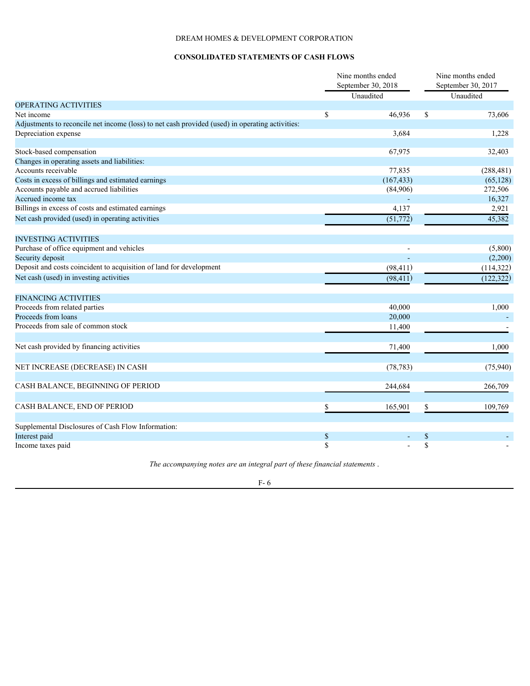# DREAM HOMES & DEVELOPMENT CORPORATION

# **CONSOLIDATED STATEMENTS OF CASH FLOWS**

<span id="page-5-0"></span>

|                                                                                                 |          | Nine months ended<br>September 30, 2018<br>Unaudited |               | Nine months ended<br>September 30, 2017<br>Unaudited |  |  |
|-------------------------------------------------------------------------------------------------|----------|------------------------------------------------------|---------------|------------------------------------------------------|--|--|
| <b>OPERATING ACTIVITIES</b>                                                                     |          |                                                      |               |                                                      |  |  |
| Net income                                                                                      | \$       | 46,936                                               | <sup>\$</sup> | 73,606                                               |  |  |
| Adjustments to reconcile net income (loss) to net cash provided (used) in operating activities: |          |                                                      |               |                                                      |  |  |
| Depreciation expense                                                                            |          | 3,684                                                |               | 1,228                                                |  |  |
|                                                                                                 |          |                                                      |               |                                                      |  |  |
| Stock-based compensation                                                                        |          | 67,975                                               |               | 32,403                                               |  |  |
| Changes in operating assets and liabilities:                                                    |          |                                                      |               |                                                      |  |  |
| Accounts receivable                                                                             |          | 77,835                                               |               | (288, 481)                                           |  |  |
| Costs in excess of billings and estimated earnings                                              |          | (167, 433)                                           |               | (65, 128)                                            |  |  |
| Accounts payable and accrued liabilities                                                        |          | (84,906)                                             |               | 272,506                                              |  |  |
| Accrued income tax                                                                              |          |                                                      |               | 16,327                                               |  |  |
| Billings in excess of costs and estimated earnings                                              |          | 4,137                                                |               | 2,921                                                |  |  |
| Net cash provided (used) in operating activities                                                |          | (51, 772)                                            |               | 45,382                                               |  |  |
|                                                                                                 |          |                                                      |               |                                                      |  |  |
| <b>INVESTING ACTIVITIES</b>                                                                     |          |                                                      |               |                                                      |  |  |
| Purchase of office equipment and vehicles                                                       |          |                                                      |               | (5,800)                                              |  |  |
| Security deposit                                                                                |          |                                                      |               | (2,200)                                              |  |  |
| Deposit and costs coincident to acquisition of land for development                             |          | (98, 411)                                            |               | (114,322)                                            |  |  |
| Net cash (used) in investing activities                                                         |          | (98, 411)                                            |               | (122, 322)                                           |  |  |
|                                                                                                 |          |                                                      |               |                                                      |  |  |
| <b>FINANCING ACTIVITIES</b>                                                                     |          |                                                      |               |                                                      |  |  |
| Proceeds from related parties                                                                   |          | 40,000                                               |               | 1,000                                                |  |  |
| Proceeds from loans                                                                             |          | 20,000                                               |               |                                                      |  |  |
| Proceeds from sale of common stock                                                              |          | 11,400                                               |               |                                                      |  |  |
|                                                                                                 |          |                                                      |               |                                                      |  |  |
| Net cash provided by financing activities                                                       |          | 71,400                                               |               | 1,000                                                |  |  |
|                                                                                                 |          |                                                      |               |                                                      |  |  |
| NET INCREASE (DECREASE) IN CASH                                                                 |          | (78, 783)                                            |               | (75, 940)                                            |  |  |
|                                                                                                 |          |                                                      |               |                                                      |  |  |
| CASH BALANCE, BEGINNING OF PERIOD                                                               |          | 244,684                                              |               | 266,709                                              |  |  |
|                                                                                                 |          |                                                      |               |                                                      |  |  |
| CASH BALANCE, END OF PERIOD                                                                     |          |                                                      | \$            |                                                      |  |  |
|                                                                                                 |          | 165,901                                              |               | 109,769                                              |  |  |
|                                                                                                 |          |                                                      |               |                                                      |  |  |
| Supplemental Disclosures of Cash Flow Information:                                              |          |                                                      |               |                                                      |  |  |
| Interest paid                                                                                   | \$<br>\$ |                                                      | <sup>\$</sup> |                                                      |  |  |
| Income taxes paid                                                                               |          |                                                      | \$            |                                                      |  |  |

*The accompanying notes are an integral part of these financial statements* .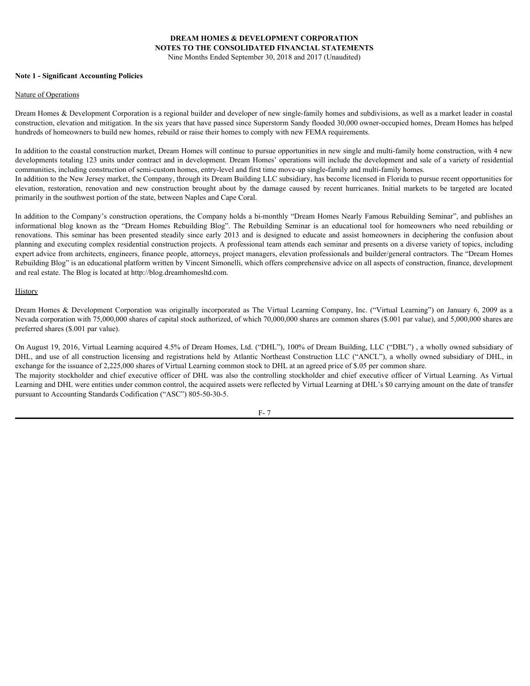# **DREAM HOMES & DEVELOPMENT CORPORATION NOTES TO THE CONSOLIDATED FINANCIAL STATEMENTS**

Nine Months Ended September 30, 2018 and 2017 (Unaudited)

#### <span id="page-6-0"></span>**Note 1 - Significant Accounting Policies**

#### Nature of Operations

Dream Homes & Development Corporation is a regional builder and developer of new single-family homes and subdivisions, as well as a market leader in coastal construction, elevation and mitigation. In the six years that have passed since Superstorm Sandy flooded 30,000 owner-occupied homes, Dream Homes has helped hundreds of homeowners to build new homes, rebuild or raise their homes to comply with new FEMA requirements.

In addition to the coastal construction market, Dream Homes will continue to pursue opportunities in new single and multi-family home construction, with 4 new developments totaling 123 units under contract and in development. Dream Homes' operations will include the development and sale of a variety of residential communities, including construction of semi-custom homes, entry-level and first time move-up single-family and multi-family homes.

In addition to the New Jersey market, the Company, through its Dream Building LLC subsidiary, has become licensed in Florida to pursue recent opportunities for primarily in the southwest portion of the state, between Naples and Cape Coral.

**EXEL CONVENT CORPORATION<br>
Note 1 - Significant Accounting Policies**<br>
Note 1 - Significant Accounting Policies<br>
Nature of Operations<br>
Dream Homes & Development Corporation is a regional builder and developer of new single-In addition to the Company's construction operations, the Company holds a bi-monthly "Dream Homes Nearly Famous Rebuilding Seminar", and publishes an **EXEL MONES & DEVELOPMENT CORPORATION**<br> **SINCE ON THE CONSOLIDATED PINANCIAL STATEMES!**<br>
Note 1 - Significant Accounting Policies<br>
Name of Chemistros To The Constitution Blog Solematic Ended September 30, 2018 and 2017 (Un **DREAM HOMES & DEVELOPMENT CORFORATION**<br> **NOTES TO THE CONSOLIDATED FINANCIAL STATEMENTS**<br> **Note 1 - Significant Accounting Policies**<br> **Dream Homes & Development Corporation is a regional builder and developer of new sing** planning and executing complex residential construction projects. A professional team attends each seminar and presents on a diverse variety of topics, including expert advice from architects, engineers, finance people, attorneys, project managers, elevation professionals and builder/general contractors. The "Dream Homes Rebuilding Blog" is an educational platform written by Vincent Simonelli, which offers comprehensive advice on all aspects of construction, finance, development and real estate. The Blog is located at http://blog.dreamhomesltd.com. **DREAM HOMES & DEVELOPMENT CORPORATION**<br>
Note 1 - Significant Accounting Pulicies<br>
Nume Members Corporation Bare Society and September 20, 2018 and 2017 Uchandical<br>
Numerative possible as a next scheme of the Virtual Expos Note 1 - Significant Accounting Policies<br>Blume of Operations is a regional hidder and developer of mean and policies and reduced by a market in the system of a<br>mean one of a construction is a regional hidder and developer Nume of Opening<br>20cons R Development Corporation is a regional builder and developer of are wingle-family homes and and<br>playinoin, Rosen's also the stockholder and the stockholder and the stockholder of Developer of Develo

#### **History**

Nevada corporation with 75,000,000 shares of capital stock authorized, of which 70,000,000 shares are common shares (\$.001 par value), and 5,000,000 shares are preferred shares (\$.001 par value).

On August 19, 2016, Virtual Learning acquired 4.5% of Dream Homes, Ltd. ("DHL"), 100% of Dream Building, LLC ("DBL") , a wholly owned subsidiary of exchange for the issuance of 2,225,000 shares of Virtual Learning common stock to DHL at an agreed price of \$.05 per common share. Learning and DHL were entities under common control, the acquired assets were reflected by Virtual Learning at DHL's \$0 carrying amount on the date of transfer pursuant to Accounting Standards Codification ("ASC") 805-50-30-5.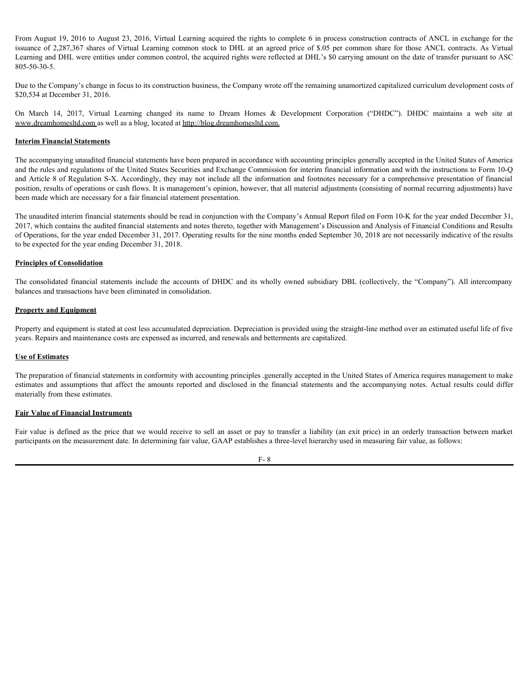From August 19, 2016 to August 23, 2016, Virtual Learning acquired the rights to complete 6 in process construction contracts of ANCL in exchange for the From August 19, 2016 to August 23, 2016, Virtual Learning acquired the rights to complete 6 in process construction contracts of ANCL in exchange for the<br>issuance of 2,287,367 shares of Virtual Learning common stock to DHL Learning and DHL were entities under common control, the acquired rights were reflected at DHL's \$0 carrying amount on the date of transfer pursuant to ASC 805-50-30-5. From August 19, 2016 to August 23, 2016, Virtual Learning acquired the rights to complete 6 in process construction contracts of ANCL in exchange for the<br>issuance of 2.287.367 shares of Virtual Learning common stock to DHL

Due to the Company's change in focus to its construction business, the Company wrote off the remaining unamortized capitalized curriculum development costs of \$20,534 at December 31, 2016.

www.dreamhomesltd.com as well as a blog, located at http://blog.dreamhomesltd.com.

#### **Interim Financial Statements**

The accompanying unaudited financial statements have been prepared in accordance with accounting principles generally accepted in the United States of America and the rules and regulations of the United States Securities and Exchange Commission for interim financial information and with the instructions to Form 10-Q and Article 8 of Regulation S-X. Accordingly, they may not include all the information and footnotes necessary for a comprehensive presentation of financial position, results of operations or cash flows. It is management's opinion, however, that all material adjustments (consisting of normal recurring adjustments) have been made which are necessary for a fair financial statement presentation. From August 19, 2016 to August 23, 2016, Virtual 1 curring acquired the rights to complete 6 in process construction contracts of ANCI in exchange for the bottomate of 2287.307.787 shares of DaLT is an agreed price of NGU For the stimate and metachine and consider the state of the metachine and the financial statement of the statement of the statement of the statement of the statement of the statement of the statement of the statement of th The accompanying unadited function statements have been prepared in accordance with accompling pricely<br>lead the cale cal could contribute the Division Section (i.e) Comparison for initiation for initiation farmination and

The unaudited interim financial statements should be read in conjunction with the Company's Annual Report filed on Form 10-K for the year ended December 31, 2017, which contains the audited financial statements and notes thereto, together with Management's Discussion and Analysis of Financial Conditions and Results of Operations, for the year ended December 31, 2017. Operating results for the nine months ended September 30, 2018 are not necessarily indicative of the results to be expected for the year ending December 31, 2018.

#### **Principles of Consolidation**

balances and transactions have been eliminated in consolidation.

#### **Property and Equipment**

Property and equipment is stated at cost less accumulated depreciation. Depreciation is provided using the straight-line method over an estimated useful life of five years. Repairs and maintenance costs are expensed as incurred, and renewals and betterments are capitalized.

#### **Use of Estimates**

The preparation of financial statements in conformity with accounting principles .generally accepted in the United States of America requires management to make materially from these estimates.

#### **Fair Value of Financial Instruments**

participants on the measurement date. In determining fair value, GAAP establishes a three-level hierarchy used in measuring fair value, as follows: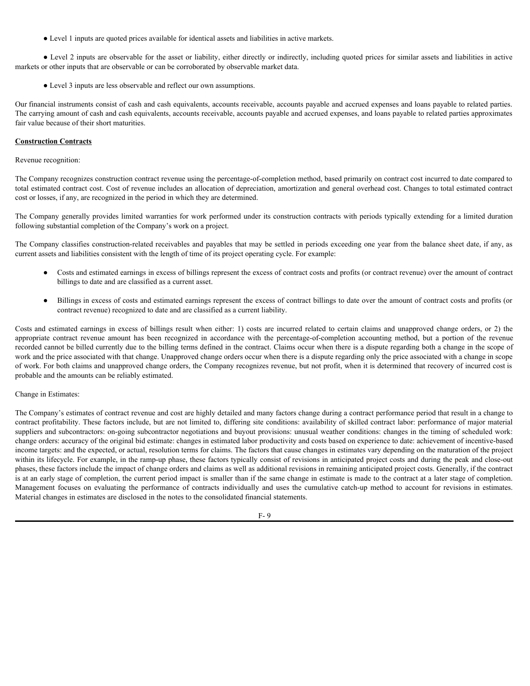● Level 1 inputs are quoted prices available for identical assets and liabilities in active markets.

● Level 2 inputs are observable for the asset or liability, either directly or indirectly, including quoted prices for similar assets and liabilities in active markets or other inputs that are observable or can be corroborated by observable market data.

• Level 3 inputs are less observable and reflect our own assumptions.

Our financial instruments consist of cash and cash equivalents, accounts receivable, accounts payable and accrued expenses and loans payable to related parties. The carrying amount of cash and cash equivalents, accounts receivable, accounts payable and accrued expenses, and loans payable to related parties approximates fair value because of their short maturities.

## **Construction Contracts**

Revenue recognition:

The Company recognizes construction contract revenue using the percentage-of-completion method, based primarily on contract cost incurred to date compared to total estimated contract cost. Cost of revenue includes an allocation of depreciation, amortization and general overhead cost. Changes to total estimated contract cost or losses, if any, are recognized in the period in which they are determined.

The Company generally provides limited warranties for work performed under its construction contracts with periods typically extending for a limited duration following substantial completion of the Company's work on a project.

The Company classifies construction-related receivables and payables that may be settled in periods exceeding one year from the balance sheet date, if any, as current assets and liabilities consistent with the length of time of its project operating cycle. For example:

- Costs and estimated earnings in excess of billings represent the excess of contract costs and profits (or contract revenue) over the amount of contract billings to date and are classified as a current asset.
- Billings in excess of costs and estimated earnings represent the excess of contract billings to date over the amount of contract costs and profits (or contract revenue) recognized to date and are classified as a current liability.

Costs and electric costs and entirely and the interest of the costs of the costs and the properties are excepted to the costs and the properties are excessible or earnings the costs of the costs and the setter of  $\sim$  10 o **a** lead 2 in the state of the the state of the interior, when the controller to the state of the state of the state of the state of the state of the state of the state of the state of the state of the state and controlle recorded cannot be billed currently due to the billing terms defined in the contract. Claims occur when there is a dispute regarding both a change in the scope of work and the price associated with that change. Unapproved change orders occur when there is a dispute regarding only the price associated with a change in scope of work. For both claims and unapproved change orders, the Company recognizes revenue, but not profit, when it is determined that recovery of incurred cost is probable and the amounts can be reliably estimated.

#### Change in Estimates:

The Company's estimates of contract revenue and cost are highly detailed and many factors change during a contract performance period that result in a change to contract profitability. These factors include, but are not limited to, differing site conditions: availability of skilled contract labor: performance of major material suppliers and subcontractors: on-going subcontractor negotiations and buyout provisions: unusual weather conditions: changes in the timing of scheduled work: change orders: accuracy of the original bid estimate: changes in estimated labor productivity and costs based on experience to date: achievement of incentive-based income targets: and the expected, or actual, resolution terms for claims. The factors that cause changes in estimates vary depending on the maturation of the project within its lifecycle. For example, in the ramp-up phase, these factors typically consist of revisions in anticipated project costs and during the peak and close-out phases, these factors include the impact of change orders and claims as well as additional revisions in remaining anticipated project costs. Generally, if the contract is at an early stage of completion, the current period impact is smaller than if the same change in estimate is made to the contract at a later stage of completion. The Company generally provides limited woments: for work performed under it contracts on the angle of contracts controllowing allowing allowing and the cumulation of the Company standard controllow in the cumulation of th Material changes in estimates are disclosed in the notes to the consolidated financial statements.

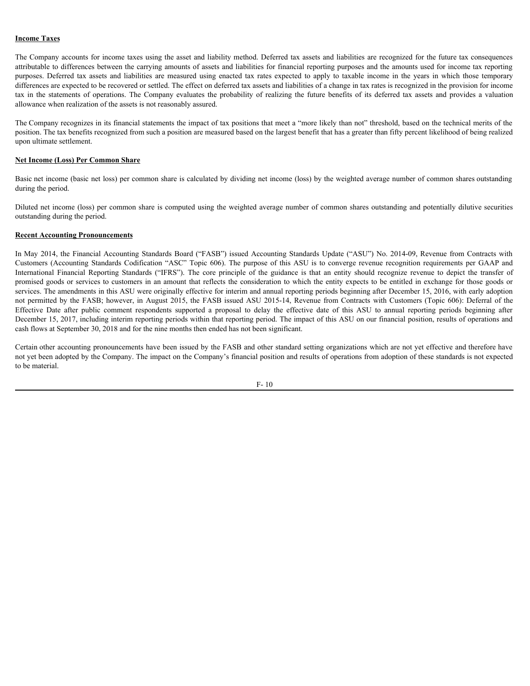### **Income Taxes**

The Company accounts for income taxes using the asset and liability method. Deferred tax assets and liabilities are recognized for the future tax consequences attributable to differences between the carrying amounts of assets and liabilities for financial reporting purposes and the amounts used for income tax reporting **Income Taxes**<br>The Company accounts for income taxes using the asset and liability method. Deferred tax assets and liabilities are recognized for the future tax consequences<br>attributable to differences between the carrying differences are expected to be recovered or settled. The effect on deferred tax assets and liabilities of a change in tax rates is recognized in the provision for income **Income Taxes**<br>The Company accounts for income taxes using the asset and liability method. Deferred tax assets and liabilities are recognized for the future tax consequences<br>attributable to differences between the carrying allowance when realization of the assets is not reasonably assured.

The Company recognizes in its financial statements the impact of tax positions that meet a "more likely than not" threshold, based on the technical merits of the position. The tax benefits recognized from such a position are measured based on the largest benefit that has a greater than fifty percent likelihood of being realized upon ultimate settlement.

## **Net Income (Loss) Per Common Share**

Basic net income (basic net loss) per common share is calculated by dividing net income (loss) by the weighted average number of common shares outstanding during the period.

Diluted net income (loss) per common share is computed using the weighted average number of common shares outstanding and potentially dilutive securities outstanding during the period.

#### **Recent Accounting Pronouncements**

In May 2014, the Financial Accounting Standards Board ("FASB") issued Accounting Standards Update ("ASU") No. 2014-09, Revenue from Contracts with **The Corpany accounts for income taxes** using the asset and lability medied. Deferred as assets and labilities are respectively for future into consequences between the convergences and the future into converge recognized International Financial Reporting Standards CFRS"). The core principle of the guidal report in the formula Standard Principle Company and the standard Financial Standards in the convention ("IFRS"). Depends the core of the promised goods or services to customers in an amount that reflects the consideration to which the entity expects to be entitled in exchange for those goods or services. The amendments in this ASU were originally effective for interim and annual reporting periods beginning after December 15, 2016, with early adoption **Income Taxes**<br>The Company accounts for income taxes using the start and liability perhided ox formed in growing compones on the mean compone and the contracts permitted and the mean component and the mean component and th **IEffective Thats**<br>The Company arounds for income taxes using the anset and anisotic mediator for the neutral constrained beginning the comment of the commenter of the commentent of the commentent of the commentent of the December 15, 2017, including interim reporting periods within that reporting period. The impact of this ASU on our financial position, results of operations and cash flows at September 30, 2018 and for the nine months then ended has not been significant.

Certain other accounting pronouncements have been issued by the FASB and other standard setting organizations which are not yet effective and therefore have not yet been adopted by the Company. The impact on the Company's financial position and results of operations from adoption of these standards is not expected to be material.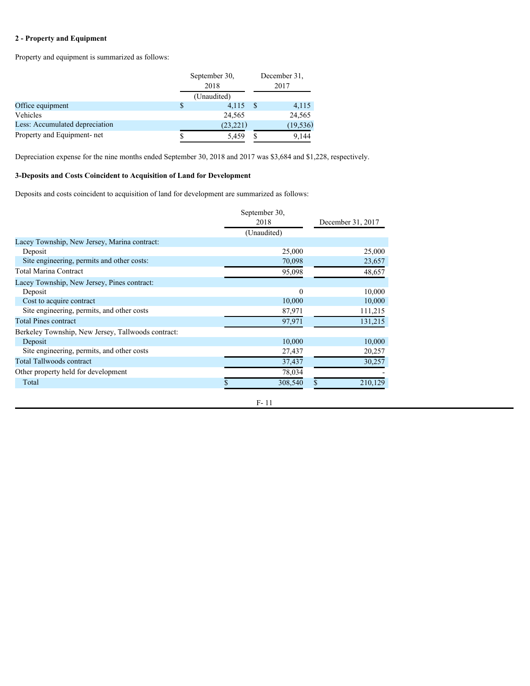# **2 - Property and Equipment**

Property and equipment is summarized as follows:

|                                | September 30,<br>2018 |  | December 31. |  |
|--------------------------------|-----------------------|--|--------------|--|
|                                |                       |  |              |  |
|                                | (Unaudited)           |  |              |  |
| Office equipment               | $4,115$ \$            |  | 4,115        |  |
| Vehicles                       | 24,565                |  | 24,565       |  |
| Less: Accumulated depreciation | (23, 221)             |  | (19, 536)    |  |
| Property and Equipment- net    | 5.459                 |  | 9,144        |  |

Depreciation expense for the nine months ended September 30, 2018 and 2017 was \$3,684 and \$1,228, respectively.

## **3-Deposits and Costs Coincident to Acquisition of Land for Development**

Deposits and costs coincident to acquisition of land for development are summarized as follows:

|                                                    | September 30,<br>2018 | December 31, 2017 |
|----------------------------------------------------|-----------------------|-------------------|
|                                                    |                       |                   |
|                                                    | (Unaudited)           |                   |
| Lacey Township, New Jersey, Marina contract:       |                       |                   |
| Deposit                                            | 25,000                | 25,000            |
| Site engineering, permits and other costs:         | 70,098                | 23,657            |
| Total Marina Contract                              | 95,098                | 48,657            |
| Lacey Township, New Jersey, Pines contract:        |                       |                   |
| Deposit                                            | $\theta$              | 10,000            |
| Cost to acquire contract                           | 10,000                | 10,000            |
| Site engineering, permits, and other costs         | 87,971                | 111,215           |
| <b>Total Pines contract</b>                        | 97,971                | 131,215           |
| Berkeley Township, New Jersey, Tallwoods contract: |                       |                   |
| Deposit                                            | 10,000                | 10,000            |
| Site engineering, permits, and other costs         | 27,437                | 20,257            |
| <b>Total Tallwoods contract</b>                    | 37,437                | 30,257            |
| Other property held for development                | 78,034                |                   |
| Total                                              | 308,540               | 210,129           |
|                                                    |                       |                   |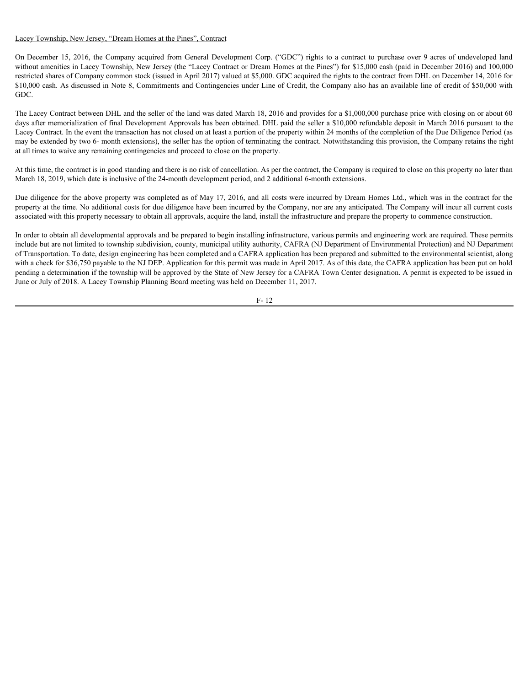## Lacey Township, New Jersey, "Dream Homes at the Pines", Contract

Lacey Township. New Jersey. "Dream Homes at the Pines". Contract<br>On December 15, 2016, the Company acquired from General Development Corp. ("GDC") rights to a contract to purchase over 9 acres of undeveloped land<br>without a without amenities in Lacey Township, New Jersey (the "Lacey Contract or Dream Homes at the Pines") for \$15,000 cash (paid in December 2016) and 100,000 restricted shares of Company common stock (issued in April 2017) valued at \$5,000. GDC acquired the rights to the contract from DHL on December 14, 2016 for \$10,000 cash. As discussed in Note 8, Commitments and Contingencies under Line of Credit, the Company also has an available line of credit of \$50,000 with GDC.

The Lacey Contract between DHL and the seller of the land was dated March 18, 2016 and provides for a \$1,000,000 purchase price with closing on or about 60 days after memorialization of final Development Approvals has been obtained. DHL paid the seller a \$10,000 refundable deposit in March 2016 pursuant to the Lacey Contract. In the event the transaction has not closed on at least a portion of the property within 24 months of the completion of the Due Diligence Period (as may be extended by two 6- month extensions), the seller has the option of terminating the contract. Notwithstanding this provision, the Company retains the right at all times to waive any remaining contingencies and proceed to close on the property.

At this time, the contract is in good standing and there is no risk of cancellation. As per the contract, the Company is required to close on this property no later than March 18, 2019, which date is inclusive of the 24-month development period, and 2 additional 6-month extensions.

Due diligence for the above property was completed as of May 17, 2016, and all costs were incurred by Dream Homes Ltd., which was in the contract for the property at the time. No additional costs for due diligence have been incurred by the Company, nor are any anticipated. The Company will incur all current costs associated with this property necessary to obtain all approvals, acquire the land, install the infrastructure and prepare the property to commence construction.

In order to obtain all developmental approvals and be prepared to begin installing infrastructure, various permits and engineering work are required. These permits include but are not limited to township subdivision, county, municipal utility authority, CAFRA (NJ Department of Environmental Protection) and NJ Department of Transportation. To date, design engineering has been completed and a CAFRA application has been prepared and submitted to the environmental scientist, along with a check for \$36,750 payable to the NJ DEP. Application for this permit was made in April 2017. As of this date, the CAFRA application has been put on hold pending a determination if the township will be approved by the State of New Jersey for a CAFRA Town Center designation. A permit is expected to be issued in June or July of 2018. A Lacey Township Planning Board meeting was held on December 11, 2017.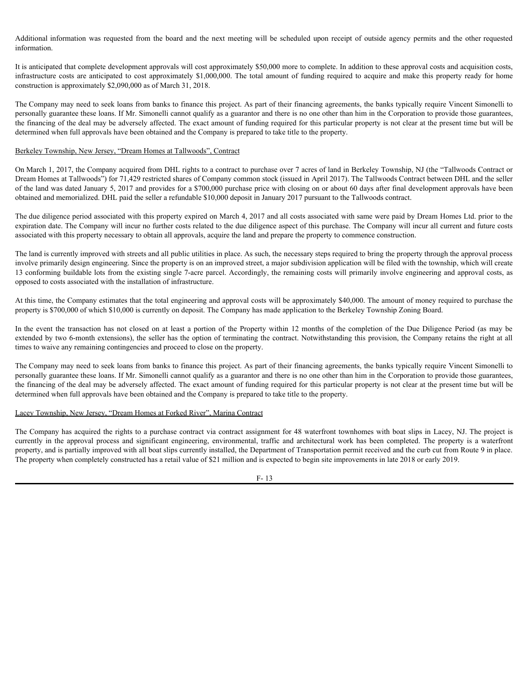information.

Additional information was requested from the board and the next meeting will be scheduled upon receipt of outside agency permits and the other requested information.<br>It is anticipated that complete development approvals w It is anticipated that complete development approvals will cost approximately \$50,000 more to complete. In addition to these approval costs and acquisition costs, construction is approximately \$2,090,000 as of March 31, 2018.

Additional information was requested from the board and the next meeting will be scheduled upon receipt of outside agency permits and the other requested information.<br>It is anticipated that complete development approximate The Company may need to seek loans from banks to finance this project. As part of their financing agreements, the banks typically require Vincent Simonelli to personally guarantee these loans. If Mr. Simonelli cannot qualify as a guarantor and there is no one other than him in the Corporation to provide those guarantees, the financing of the deal may be adversely affected. The exact amount of funding required for this particular property is not clear at the present time but will be determined when full approvals have been obtained and the Company is prepared to take title to the property. Internation<br>Infinitention date complete development approvals will cost approximately \$50,000 more to emaple; In addition these regreced on the action of the Company cost and acceleration to the company receiver and accele

#### Berkeley Township, New Jersey, "Dream Homes at Tallwoods", Contract

On March 1, 2017, the Company acquired from DHL rights to a contract to purchase over 7 acres of land in Berkeley Township, NJ (the "Tallwoods Contract or Dream Homes at Tallwoods") for 71,429 restricted shares of Company common stock (issued in April 2017). The Tallwoods Contract between DHL and the seller of the land was dated January 5, 2017 and provides for a \$700,000 purchase price with closing on or about 60 days after final development approvals have been obtained and memorialized. DHL paid the seller a refundable \$10,000 deposit in January 2017 pursuant to the Tallwoods contract.

The due diligence period associated with this property expired on March 4, 2017 and all costs associated with same were paid by Dream Homes Ltd. prior to the expiration date. The Company will incur no further costs related to the due diligence aspect of this purchase. The Company will incur all current and future costs associated with this property necessary to obtain all approvals, acquire the land and prepare the property to commence construction.

The land is currently improved with streets and all public utilities in place. As such, the necessary steps required to bring the property through the approval process involve primarily design engineering. Since the property is on an improved street, a major subdivision application will be filed with the township, which will create 13 conforming buildable lots from the existing single 7-acre parcel. Accordingly, the remaining costs will primarily involve engineering and approval costs, as opposed to costs associated with the installation of infrastructure. On March 1, 2017, the Company acquired from DHI. rights to a contract to purchase one 7 acres of lard in Berkeley Township, N2 (be "Tal<sup>1</sup>boods Contract or Tall and to significant Tall and the Distribution (10). The prope

At this time, the Company estimates that the total engineering and approval costs will be approximately \$40,000. The amount of money required to purchase the property is \$700,000 of which \$10,000 is currently on deposit. The Company has made application to the Berkeley Township Zoning Board.

extended by two 6-month extensions), the seller has the option of terminating the contract. Notwithstanding this provision, the Company retains the right at all times to waive any remaining contingencies and proceed to close on the property.

The Company may need to seek loans from banks to finance this project. As part of their financing agreements, the banks typically require Vincent Simonelli to personally guarantee these loans. If Mr. Simonelli cannot qualify as a guarantor and there is no one other than him in the Corporation to provide those guarantees, the financing of the deal may be adversely affected. The exact amount of funding required for this particular property is not clear at the present time but will be determined when full approvals have been obtained and the Company is prepared to take title to the property.

#### Lacey Township, New Jersey, "Dream Homes at Forked River", Marina Contract

The Company has acquired the rights to a purchase contract via contract assignment for 48 waterfront townhomes with boat slips in Lacey, NJ. The project is property, and is partially improved with all boat slips currently installed, the Department of Transportation permit received and the curb cut from Route 9 in place. The property when completely constructed has a retail value of \$21 million and is expected to begin site improvements in late 2018 or early 2019.

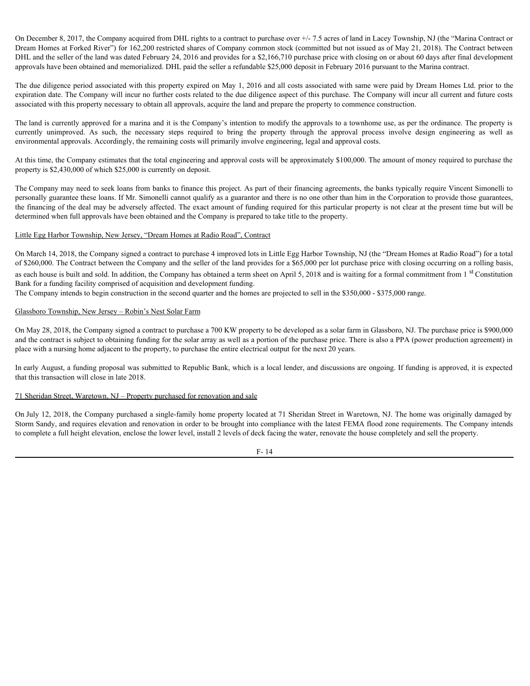On December 8, 2017, the Company acquired from DHL rights to a contract to purchase over +/- 7.5 acres of land in Lacey Township, NJ (the "Marina Contract or Dream Homes at Forked River") for 162,200 restricted shares of Company common stock (committed but not issued as of May 21, 2018). The Contract between DHL and the seller of the land was dated February 24, 2016 and provides for a \$2,166,710 purchase price with closing on or about 60 days after final development approvals have been obtained and memorialized. DHL paid the seller a refundable \$25,000 deposit in February 2016 pursuant to the Marina contract. On December 8, 2017, the Company acquired from DHL rights to a contract to purchase over  $+/-7.5$  acres of land in Lacey Township, NJ (the "Marina Contract or Decam Homes at Forked River") for 162,200 restricted shares of

The due diligence period associated with this property expired on May 1, 2016 and all costs associated with same were paid by Dream Homes Ltd. prior to the expiration date. The Company will incur no further costs related to the due diligence aspect of this purchase. The Company will incur all current and future costs associated with this property necessary to obtain all approvals, acquire the land and prepare the property to commence construction.

The land is currently approved for a marina and it is the Company's intention to modify the approvals to a townhome use, as per the ordinance. The property is environmental approvals. Accordingly, the remaining costs will primarily involve engineering, legal and approval costs.

At this time, the Company estimates that the total engineering and approval costs will be approximately \$100,000. The amount of money required to purchase the property is \$2,430,000 of which \$25,000 is currently on deposit.

The Company may need to seek loans from banks to finance this project. As part of their financing agreements, the banks typically require Vincent Simonelli to personally guarantee these loans. If Mr. Simonelli cannot qualify as a guarantor and there is no one other than him in the Corporation to provide those guarantees, the financing of the deal may be adversely affected. The exact amount of funding required for this particular property is not clear at the present time but will be determined when full approvals have been obtained and the Company is prepared to take title to the property.

#### Little Egg Harbor Township, New Jersey, "Dream Homes at Radio Road", Contract

On March 14, 2018, the Company signed a contract to purchase 4 improved lots in Little Egg Harbor Township, NJ (the "Dream Homes at Radio Road") for a total of \$260,000. The Contract between the Company and the seller of the land provides for a \$65,000 per lot purchase price with closing occurring on a rolling basis, as each house is built and sold. In addition, the Company has obtained a term sheet on April 5, 2018 and is waiting for a formal commitment from 1<sup>st</sup> Constitution Bank for a funding facility comprised of acquisition and development funding.

The Company intends to begin construction in the second quarter and the homes are projected to sell in the \$350,000 - \$375,000 range.

#### Glassboro Township, New Jersey – Robin's Nest Solar Farm

On May 28, 2018, the Company signed a contract to purchase a 700 KW property to be developed as a solar farm in Glassboro, NJ. The purchase price is \$900,000 and the contract is subject to obtaining funding for the solar array as well as a portion of the purchase price. There is also a PPA (power production agreement) in place with a nursing home adjacent to the property, to purchase the entire electrical output for the next 20 years.

In early August, a funding proposal was submitted to Republic Bank, which is a local lender, and discussions are ongoing. If funding is approved, it is expected that this transaction will close in late 2018.

#### 71 Sheridan Street, Waretown, NJ – Property purchased for renovation and sale

On July 12, 2018, the Company purchased a single-family home property located at 71 Sheridan Street in Waretown, NJ. The home was originally damaged by Storm Sandy, and requires elevation and renovation in order to be brought into compliance with the latest FEMA flood zone requirements. The Company intends to complete a full height elevation, enclose the lower level, install 2 levels of deck facing the water, renovate the house completely and sell the property.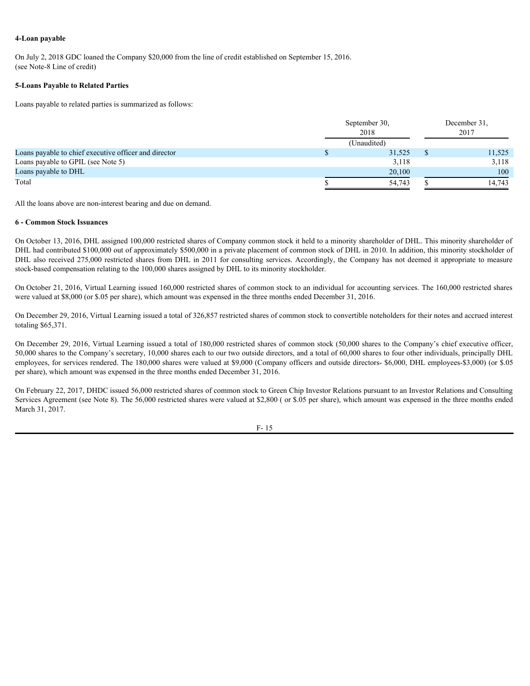#### **4-Loan payable**

On July 2, 2018 GDC loaned the Company \$20,000 from the line of credit established on September 15, 2016. (see Note-8 Line of credit)

#### **5-Loans Payable to Related Parties**

Loans payable to related parties is summarized as follows:

|                                                       | September 30,<br>2018 |  | December 31,<br>2017 |
|-------------------------------------------------------|-----------------------|--|----------------------|
|                                                       | (Unaudited)           |  |                      |
| Loans payable to chief executive officer and director | 31,525                |  | 11,525               |
| Loans payable to GPIL (see Note 5)                    | 3,118                 |  | 3,118                |
| Loans payable to DHL                                  | 20,100                |  | 100                  |
| Total                                                 | 54,743                |  | 14,743               |
|                                                       |                       |  |                      |

All the loans above are non-interest bearing and due on demand.

#### **6 - Common Stock Issuances**

On October 13, 2016, DHL assigned 100,000 restricted shares of Company common stock it held to a minority shareholder of DHL. This minority shareholder of DHL had contributed \$100,000 out of approximately \$500,000 in a private placement of common stock of DHL in 2010. In addition, this minority stockholder of DHL also received 275,000 restricted shares from DHL in 2011 for consulting services. Accordingly, the Company has not deemed it appropriate to measure stock-based compensation relating to the 100,000 shares assigned by DHL to its minority stockholder.

On October 21, 2016, Virtual Learning issued 160,000 restricted shares of common stock to an individual for accounting services. The 160,000 restricted shares were valued at \$8,000 (or \$.05 per share), which amount was expensed in the three months ended December 31, 2016.

On December 29, 2016, Virtual Learning issued a total of 326,857 restricted shares of common stock to convertible noteholders for their notes and accrued interest totaling \$65,371.

On December 29, 2016, Virtual Learning issued a total of 180,000 restricted shares of common stock (50,000 shares to the Company's chief executive officer, 50,000 shares to the Company's secretary, 10,000 shares each to our two outside directors, and a total of 60,000 shares to four other individuals, principally DHL employees, for services rendered. The 180,000 shares were valued at \$9,000 (Company officers and outside directors- \$6,000, DHL employees-\$3,000) (or \$.05 per share), which amount was expensed in the three months ended December 31, 2016.

On February 22, 2017, DHDC issued 56,000 restricted shares of common stock to Green Chip Investor Relations pursuant to an Investor Relations and Consulting Services Agreement (see Note 8). The 56,000 restricted shares were valued at \$2,800 (or \$.05 per share), which amount was expensed in the three months ended March 31, 2017.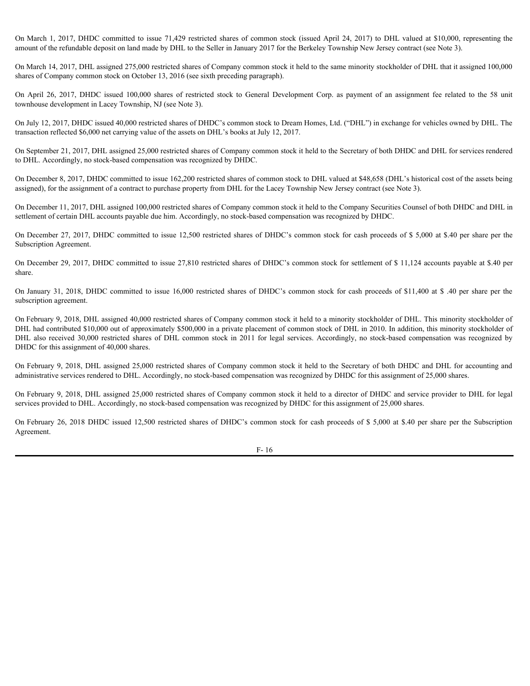amount of the refundable deposit on land made by DHL to the Seller in January 2017 for the Berkeley Township New Jersey contract (see Note 3).

On March 1, 2017, DHDC committed to issue 71,429 restricted shares of common stock (issued April 24, 2017) to DHL valued at \$10,000, representing the amount of the refundable deposit on land made by DHL to the Seller in Ja On March 14, 2017, DHL assigned 275,000 restricted shares of Company common stock it held to the same minority stockholder of DHL that it assigned 100,000 shares of Company common stock on October 13, 2016 (see sixth preceding paragraph). On March 1, 2017, DHDC committed to issue 71,429 restricted shares of common stock (issued April 24, 2017) to DHL valued at \$10,000, representing the amount of the refundable deposit on land made by DHL to the Seller in Ja

townhouse development in Lacey Township, NJ (see Note 3).

On July 12, 2017, DHDC issued 40,000 restricted shares of DHDC's common stock to Dream Homes, Ltd. ("DHL") in exchange for vehicles owned by DHL. The transaction reflected \$6,000 net carrying value of the assets on DHL's books at July 12, 2017.

On September 21, 2017, DHL assigned 25,000 restricted shares of Company common stock it held to the Secretary of both DHDC and DHL for services rendered to DHL. Accordingly, no stock-based compensation was recognized by DHDC.

On December 8, 2017, DHDC committed to issue 162,200 restricted shares of common stock to DHL valued at \$48,658 (DHL's historical cost of the assets being assigned), for the assignment of a contract to purchase property from DHL for the Lacey Township New Jersey contract (see Note 3).

On December 11, 2017, DHL assigned 100,000 restricted shares of Company common stock it held to the Company Securities Counsel of both DHDC and DHL in settlement of certain DHL accounts payable due him. Accordingly, no stock-based compensation was recognized by DHDC.

On December 27, 2017, DHDC committed to issue 12,500 restricted shares of DHDC's common stock for cash proceeds of \$ 5,000 at \$.40 per share per the Subscription Agreement.

On December 29, 2017, DHDC committed to issue 27,810 restricted shares of DHDC's common stock for settlement of \$ 11,124 accounts payable at \$.40 per share.

subscription agreement.

On March 1, 2017, DHDC committed to issue 71,429 restricted shares of common stock Gauced April 24, 2017) to DHL valued 8 510.000, representing the mean of the conductive of the formation of the formation of the formation On February 9, 2018, DHL assigned 40,000 restricted shares of Company common stock it held to a minority stockholder of DHL. This minority stockholder of DHL had contributed \$10,000 out of approximately \$500,000 in a private placement of common stock of DHL in 2010. In addition, this minority stockholder of On March 14, 2017, DHL assigned 275,000 restricted shares of Company common stock it held to the assemble for Common Society and Society and Society and Society and Society and Society and Society and Society and Society a DHDC for this assignment of 40,000 shares. On September 21, 2018, DHL assigned 25,000 restricted shares of Company common stock in bEH as back of DHLC and DHL assember 2018. A common stock in DHL common stock in DHL common stock componention and restricted compone

On February 9, 2018, DHL assigned 25,000 restricted shares of Company common stock it held to the Secretary of both DHDC and DHL for accounting and administrative services rendered to DHL. Accordingly, no stock-based compensation was recognized by DHDC for this assignment of 25,000 shares.

On February 9, 2018, DHL assigned 25,000 restricted shares of Company common stock it held to a director of DHDC and service provider to DHL for legal services provided to DHL. Accordingly, no stock-based compensation was recognized by DHDC for this assignment of 25,000 shares.

Agreement.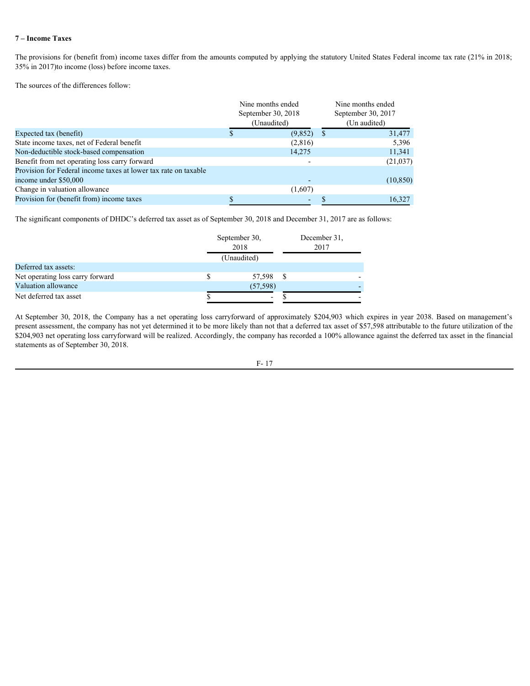## **7 – Income Taxes**

| The provisions for (benefit from) income taxes differ from the amounts computed by applying the statutory United States Federal income tax rate (21% in 2018;<br>35% in 2017) to income (loss) before income taxes.<br>The sources of the differences follow:<br>Expected tax (benefit)<br>State income taxes, net of Federal benefit                                                                                                                                                                                                           | Nine months ended                    |                                   |                                                         |
|-------------------------------------------------------------------------------------------------------------------------------------------------------------------------------------------------------------------------------------------------------------------------------------------------------------------------------------------------------------------------------------------------------------------------------------------------------------------------------------------------------------------------------------------------|--------------------------------------|-----------------------------------|---------------------------------------------------------|
|                                                                                                                                                                                                                                                                                                                                                                                                                                                                                                                                                 |                                      |                                   |                                                         |
|                                                                                                                                                                                                                                                                                                                                                                                                                                                                                                                                                 |                                      |                                   |                                                         |
|                                                                                                                                                                                                                                                                                                                                                                                                                                                                                                                                                 |                                      | September 30, 2018<br>(Unaudited) | Nine months ended<br>September 30, 2017<br>(Un audited) |
|                                                                                                                                                                                                                                                                                                                                                                                                                                                                                                                                                 |                                      | $(9,852)$ \$                      | 31,477                                                  |
|                                                                                                                                                                                                                                                                                                                                                                                                                                                                                                                                                 |                                      | (2,816)                           | 5,396                                                   |
| Non-deductible stock-based compensation                                                                                                                                                                                                                                                                                                                                                                                                                                                                                                         |                                      | 14,275                            | 11,341                                                  |
| Benefit from net operating loss carry forward                                                                                                                                                                                                                                                                                                                                                                                                                                                                                                   |                                      |                                   | (21,037)                                                |
| Provision for Federal income taxes at lower tax rate on taxable                                                                                                                                                                                                                                                                                                                                                                                                                                                                                 |                                      |                                   |                                                         |
| income under \$50,000                                                                                                                                                                                                                                                                                                                                                                                                                                                                                                                           |                                      |                                   | (10, 850)                                               |
| Change in valuation allowance                                                                                                                                                                                                                                                                                                                                                                                                                                                                                                                   |                                      | (1,607)                           |                                                         |
| Provision for (benefit from) income taxes                                                                                                                                                                                                                                                                                                                                                                                                                                                                                                       |                                      | $\sim$ 10 $\pm$                   | 16,327<br><sup>S</sup>                                  |
| The significant components of DHDC's deferred tax asset as of September 30, 2018 and December 31, 2017 are as follows:<br>Deferred tax assets:                                                                                                                                                                                                                                                                                                                                                                                                  | September 30,<br>2018<br>(Unaudited) |                                   | December 31,<br>2017                                    |
| Net operating loss carry forward                                                                                                                                                                                                                                                                                                                                                                                                                                                                                                                | \$.                                  | 57,598 \$                         |                                                         |
| Valuation allowance                                                                                                                                                                                                                                                                                                                                                                                                                                                                                                                             | (57, 598)                            |                                   |                                                         |
| Net deferred tax asset                                                                                                                                                                                                                                                                                                                                                                                                                                                                                                                          |                                      | $\mathcal{S}$<br>$\sim$           |                                                         |
|                                                                                                                                                                                                                                                                                                                                                                                                                                                                                                                                                 |                                      |                                   |                                                         |
|                                                                                                                                                                                                                                                                                                                                                                                                                                                                                                                                                 |                                      |                                   |                                                         |
| At September 30, 2018, the Company has a net operating loss carryforward of approximately \$204,903 which expires in year 2038. Based on management's<br>present assessment, the company has not yet determined it to be more likely than not that a deferred tax asset of \$57,598 attributable to the future utilization of the<br>\$204,903 net operating loss carryforward will be realized. Accordingly, the company has recorded a 100% allowance against the deferred tax asset in the financial<br>statements as of September 30, 2018. |                                      |                                   |                                                         |

|                                  | September 30,<br>2018    |  | December 31,<br>2017 |  |
|----------------------------------|--------------------------|--|----------------------|--|
|                                  | (Unaudited)              |  |                      |  |
| Deferred tax assets:             |                          |  |                      |  |
| Net operating loss carry forward | 57,598                   |  |                      |  |
| Valuation allowance              | (57, 598)                |  |                      |  |
| Net deferred tax asset           | $\overline{\phantom{0}}$ |  |                      |  |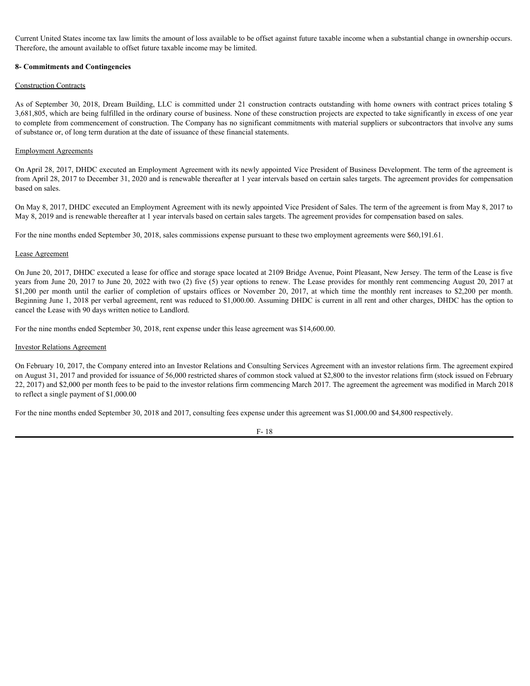Current United States income tax law limits the amount of loss available to be offset against future taxable income when a substantial change in ownership occurs. Therefore, the amount available to offset future taxable income may be limited.

#### **8- Commitments and Contingencies**

#### Construction Contracts

Current United States income tax law limits the amount of loss available to be offset against future taxable income when a substantial change in ownership occurs.<br>Therefore, the amount available to offset future taxable in 3,681,805, which are being fulfilled in the ordinary course of business. None of these construction projects are expected to take significantly in excess of one year to complete from commencement of construction. The Company has no significant commitments with material suppliers or subcontractors that involve any sums of substance or, of long term duration at the date of issuance of these financial statements.

#### Employment Agreements

On April 28, 2017, DHDC executed an Employment Agreement with its newly appointed Vice President of Business Development. The term of the agreement is from April 28, 2017 to December 31, 2020 and is renewable thereafter at 1 year intervals based on certain sales targets. The agreement provides for compensation based on sales.

On May 8, 2017, DHDC executed an Employment Agreement with its newly appointed Vice President of Sales. The term of the agreement is from May 8, 2017 to May 8, 2019 and is renewable thereafter at 1 year intervals based on certain sales targets. The agreement provides for compensation based on sales.

For the nine months ended September 30, 2018, sales commissions expense pursuant to these two employment agreements were \$60,191.61.

#### Lease Agreement

On June 20, 2017, DHDC executed a lease for office and storage space located at 2109 Bridge Avenue, Point Pleasant, New Jersey. The term of the Lease is five years from June 20, 2017 to June 20, 2022 with two (2) five (5) year options to renew. The Lease provides for monthly rent commencing August 20, 2017 at Current Unied States income tax tee innius the summont of issts available to be office against future taxable income when a substantial change in ownership occurs.<br>The offer montent contains and the dimension and the month Beginning June 1, 2018 per verbal agreement, rent was reduced to \$1,000.00. Assuming DHDC is current in all rent and other charges, DHDC has the option to cancel the Lease with 90 days written notice to Landlord.

For the nine months ended September 30, 2018, rent expense under this lease agreement was \$14,600.00.

#### Investor Relations Agreement

On February 10, 2017, the Company entered into an Investor Relations and Consulting Services Agreement with an investor relations firm. The agreement expired on August 31, 2017 and provided for issuance of 56,000 restricted shares of common stock valued at \$2,800 to the investor relations firm (stock issued on February 22, 2017) and \$2,000 per month fees to be paid to the investor relations firm commencing March 2017. The agreement the agreement was modified in March 2018 to reflect a single payment of \$1,000.00

For the nine months ended September 30, 2018 and 2017, consulting fees expense under this agreement was \$1,000.00 and \$4,800 respectively.

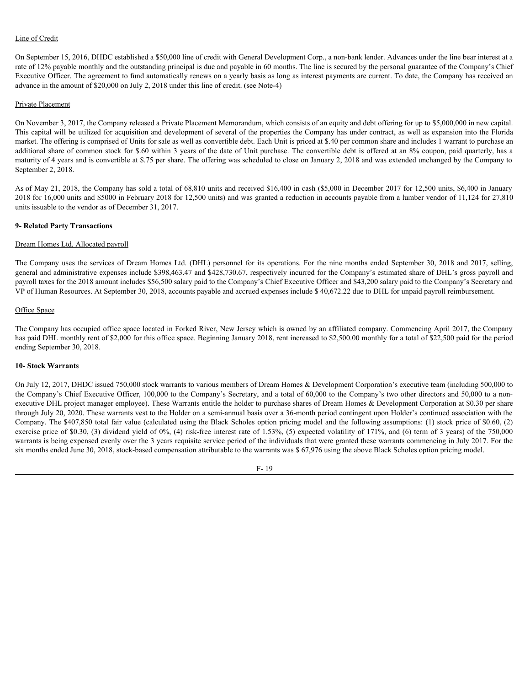## Line of Credit

On September 15, 2016, DHDC established a \$50,000 line of credit with General Development Corp., a non-bank lender. Advances under the line bear interest at a rate of 12% payable monthly and the outstanding principal is due and payable in 60 months. The line is secured by the personal guarantee of the Company's Chief Executive Officer. The agreement to fund automatically renews on a yearly basis as long as interest payments are current. To date, the Company has received an advance in the amount of \$20,000 on July 2, 2018 under this line of credit. (see Note-4)

#### Private Placement

On November 3, 2017, the Company released a Private Placement Memorandum, which consists of an equity and debt offering for up to \$5,000,000 in new capital. This capital will be utilized for acquisition and development of several of the properties the Company has under contract, as well as expansion into the Florida market. The offering is comprised of Units for sale as well as convertible debt. Each Unit is priced at \$.40 per common share and includes 1 warrant to purchase an additional share of common stock for \$.60 within 3 years of the date of Unit purchase. The convertible debt is offered at an 8% coupon, paid quarterly, has a maturity of 4 years and is convertible at \$.75 per share. The offering was scheduled to close on January 2, 2018 and was extended unchanged by the Company to September 2, 2018. Line of Credit<br>On Septenber 15.2016, DHDC established a 550,000 line of credit with General Development Corp., a non-bank leader. Advances under the bank memories that<br>however the form in the services of the data company t

As of May 21, 2018, the Company has sold a total of 68,810 units and received \$16,400 in cash (\$5,000 in December 2017 for 12,500 units, \$6,400 in January 2018 for 16,000 units and \$5000 in February 2018 for 12,500 units) and was granted a reduction in accounts payable from a lumber vendor of 11,124 for 27,810 units issuable to the vendor as of December 31, 2017.

#### **9- Related Party Transactions**

#### Dream Homes Ltd. Allocated payroll

general and administrative expenses include \$398,463.47 and \$428,730.67, respectively incurred for the Company's estimated share of DHL's gross payroll and payroll taxes for the 2018 amount includes \$56,500 salary paid to the Company's Chief Executive Officer and \$43,200 salary paid to the Company's Secretary and VP of Human Resources. At September 30, 2018, accounts payable and accrued expenses include \$ 40,672.22 due to DHL for unpaid payroll reimbursement.

#### Office Space

The Company has occupied office space located in Forked River, New Jersey which is owned by an affiliated company. Commencing April 2017, the Company has paid DHL monthly rent of \$2,000 for this office space. Beginning January 2018, rent increased to \$2,500.00 monthly for a total of \$22,500 paid for the period ending September 30, 2018.

## **10- Stock Warrants**

On July 12, 2017, DHDC issued 750,000 stock warrants to various members of Dream Homes & Development Corporation's executive team (including 500,000 to the Company's Chief Executive Officer, 100,000 to the Company's Secretary, and a total of 60,000 to the Company's two other directors and 50,000 to a nonexecutive DHL project manager employee). These Warrants entitle the holder to purchase shares of Dream Homes & Development Corporation at \$0.30 per share through July 20, 2020. These warrants vest to the Holder on a semi-annual basis over a 36-month period contingent upon Holder's continued association with the Company. The \$407,850 total fair value (calculated using the Black Scholes option pricing model and the following assumptions: (1) stock price of \$0.60, (2) exercise price of \$0.30, (3) dividend yield of 0%, (4) risk-free interest rate of 1.53%, (5) expected volatility of 171%, and (6) term of 3 years) of the 750,000 warrants is being expensed evenly over the 3 years requisite service period of the individuals that were granted these warrants commencing in July 2017. For the six months ended June 30, 2018, stock-based compensation attributable to the warrants was \$ 67,976 using the above Black Scholes option pricing model.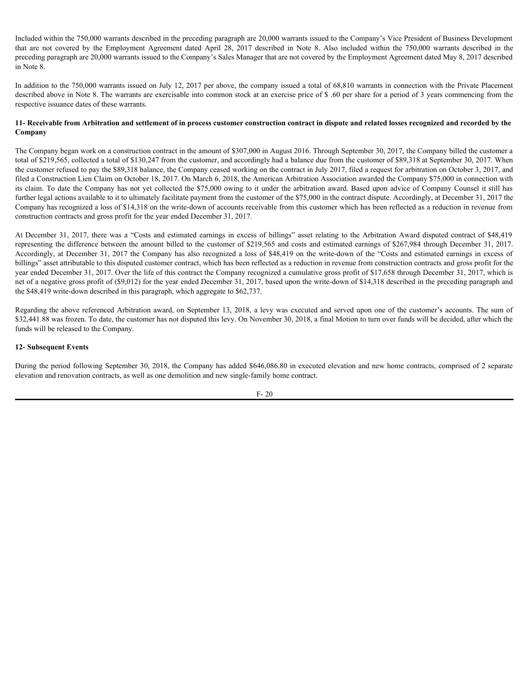Included within the 750,000 warrants described in the preceding paragraph are 20,000 warrants issued to the Company's Vice President of Business Development Included within the 750,000 warrants described in the preceding paragraph are 20,000 warrants issued to the Company's Vice President of Business Development<br>that are not covered by the Employment Agreement dated April 28, preceding paragraph are 20,000 warrants issued to the Company's Sales Manager that are not covered by the Employment Agreement dated May 8, 2017 described in Note 8.

In addition to the 750,000 warrants issued on July 12, 2017 per above, the company issued a total of 68,810 warrants in connection with the Private Placement described above in Note 8. The warrants are exercisable into common stock at an exercise price of \$ .60 per share for a period of 3 years commencing from the respective issuance dates of these warrants.

### **11- Receivable from Arbitration and settlement of in process customer construction contract in dispute and related losses recognized and recorded by the Company**

The Company began work on a construction contract in the amount of \$307,000 in August 2016. Through September 30, 2017, the Company billed the customer a total of \$219,565, collected a total of \$130,247 from the customer, and accordingly had a balance due from the customer of \$89,318 at September 30, 2017. When the customer refused to pay the \$89,318 balance, the Company ceased working on the contract in July 2017, filed a request for arbitration on October 3, 2017, and filed a Construction Lien Claim on October 18, 2017. On March 6, 2018, the American Arbitration Association awarded the Company \$75,000 in connection with its claim. To date the Company has not yet collected the \$75,000 owing to it under the arbitration award. Based upon advice of Company Counsel it still has further legal actions available to it to ultimately facilitate payment from the customer of the \$75,000 in the contract dispute. Accordingly, at December 31, 2017 the Company has recognized a loss of \$14,318 on the write-down of accounts receivable from this customer which has been reflected as a reduction in revenue from construction contracts and gross profit for the year ended December 31, 2017. Included within the 750,000 variants described in the proceding paragraph are 20.000 variants issued to the Company's Vice President of Batises Development<br>that are not covered by the Employment Arbitration disto April 28

representing the difference between the amount billed to the customer of \$219,565 and costs and estimated earnings of \$267,984 through December 31, 2017. Accordingly, at December 31, 2017 the Company has also recognized a loss of \$48,419 on the write-down of the "Costs and estimated earnings in excess of billings" asset attributable to this disputed customer contract, which has been reflected as a reduction in revenue from construction contracts and gross profit for the year ended December 31, 2017. Over the life of this contract the Company recognized a cumulative gross profit of \$17,658 through December 31, 2017, which is net of a negative gross profit of (\$9,012) for the year ended December 31, 2017, based upon the write-down of \$14,318 described in the preceding paragraph and the \$48,419 write-down described in this paragraph, which aggregate to \$62,737.

Regarding the above referenced Arbitration award, on September 13, 2018, a levy was executed and served upon one of the customer's accounts. The sum of \$32,441.88 was frozen. To date, the customer has not disputed this levy. On November 30, 2018, a final Motion to turn over funds will be decided, after which the funds will be released to the Company.

#### **12- Subsequent Events**

During the period following September 30, 2018, the Company has added \$646,086.80 in executed elevation and new home contracts, comprised of 2 separate elevation and renovation contracts, as well as one demolition and new single-family home contract.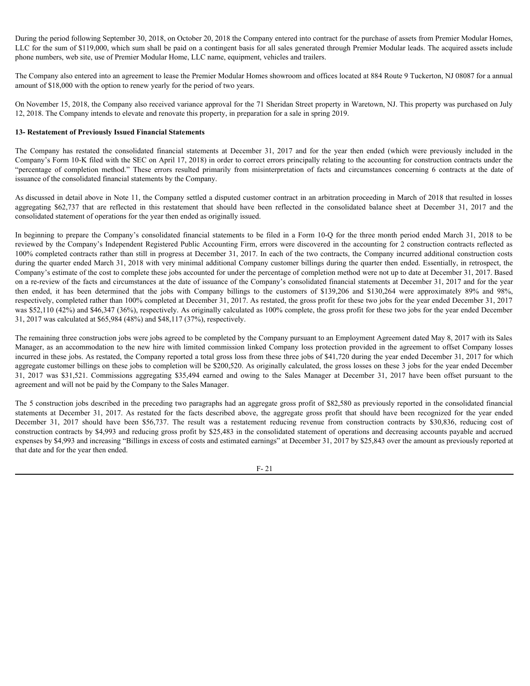During the period following September 30, 2018, on October 20, 2018 the Company entered into contract for the purchase of assets from Premier Modular Homes, LLC for the sum of \$119,000, which sum shall be paid on a contingent basis for all sales generated through Premier Modular leads. The acquired assets include phone numbers, web site, use of Premier Modular Home, LLC name, equipment, vehicles and trailers.

The Company also entered into an agreement to lease the Premier Modular Homes showroom and offices located at 884 Route 9 Tuckerton, NJ 08087 for a annual amount of \$18,000 with the option to renew yearly for the period of two years.

On November 15, 2018, the Company also received variance approval for the 71 Sheridan Street property in Waretown, NJ. This property was purchased on July 12, 2018. The Company intends to elevate and renovate this property, in preparation for a sale in spring 2019.

#### **13- Restatement of Previously Issued Financial Statements**

During the period following September 30, 2018, on October 20, 2018 the Company entered into contract for the purchase of assets from Premier Modular Homes,<br>LLC for the sum of \$119,000, which sum shall be paid on a conting Company's Form 10-K filed with the SEC on April 17, 2018) in order to correct errors principally relating to the accounting for construction contracts under the During the period following September 30, 2018, on October 20, 2018 the Company entered into contract for the purchase of assets from Premier Modular Homes,<br>LLC for the sum of \$119,000, which sum shall be paid on a contin issuance of the consolidated financial statements by the Company.

As discussed in detail above in Note 11, the Company settled a disputed customer contract in an arbitration proceeding in March of 2018 that resulted in losses consolidated statement of operations for the year then ended as originally issued.

During the period following September 30, 2018 on October 20, 2018 the Company entered into contract for the purchase of assets from Permier Modular Homes.<br>LLC for the sum of S110/00, Shach sum alal te paid on a contragen During the period following Squamber 30, 2018, on October 20, 2018 the Company entered into contract for the purchase of assets from Premier Modular Homes, LLC for the system. The company when a mont contract all the syste reviewed by the Company's Independent Registered Public Accounting Firm, errors were discovered in the accounting for 2 construction contracts reflected as 100% completed contracts rather than still in progress at December 31, 2017. In each of the two contracts, the Company incurred additional construction costs during the quarter ended March 31, 2018 with very minimal additional Company customer billings during the quarter then ended. Essentially, in retrospect, the Company's estimate of the cost to complete these jobs accounted for under the percentage of completion method were not up to date at December 31, 2017. Based on a re-review of the facts and circumstances at the date of issuance of the Company's consolidated financial statements at December 31, 2017 and for the year During the period following September 30, 2018, an October 20, 2018 the Company sustern into contact for the particular follow he period to the fit in Monday the Company into the Company into the fit in the system of the s respectively, completed rather than 100% completed at December 31, 2017. As restated, the gross profit for these two jobs for the year ended December 31, 2017 was \$52,110 (42%) and \$46,347 (36%), respectively. As originally calculated as 100% complete, the gross profit for these two jobs for the year ended December 31, 2017 was calculated at \$65,984 (48%) and \$48,117 (37%), respectively. On November 15, 2018, the Company also received variance approval for the 21 Sheridan Steel property in Wareson, NJ. This property sugnestical on the 21, 2012. The 2018 The Relations to company interests to choose and enc 13- Restatement of Previously Issued Financial Statements<br>The Company's Four Dec finals of facts about laterations and the control of the statements of the company's four above Company's four the final with the SEC en App The Company has restand the consolidated function attentions at December 31, 2017 and for the consent of finite the following to the finite one consent properties of consentation and the second form (before the properties

The remaining three construction jobs were jobs agreed to be completed by the Company pursuant to an Employment Agreement dated May 8, 2017 with its Sales Manager, as an accommodation to the new hire with limited commission linked Company loss protection provided in the agreement to offset Company losses incurred in these jobs. As restated, the Company reported a total gross loss from these three jobs of \$41,720 during the year ended December 31, 2017 for which aggregate customer billings on these jobs to completion will be \$200,520. As originally calculated, the gross losses on these 3 jobs for the year ended December agreement and will not be paid by the Company to the Sales Manager.

The 5 construction jobs described in the preceding two paragraphs had an aggregate gross profit of \$82,580 as previously reported in the consolidated financial construction contracts by \$4,993 and reducing gross profit by \$25,483 in the consolidated statement of operations and decreasing accounts payable and accrued expenses by \$4,993 and increasing "Billings in excess of costs and estimated earnings" at December 31, 2017 by \$25,843 over the amount as previously reported at that date and for the year then ended.

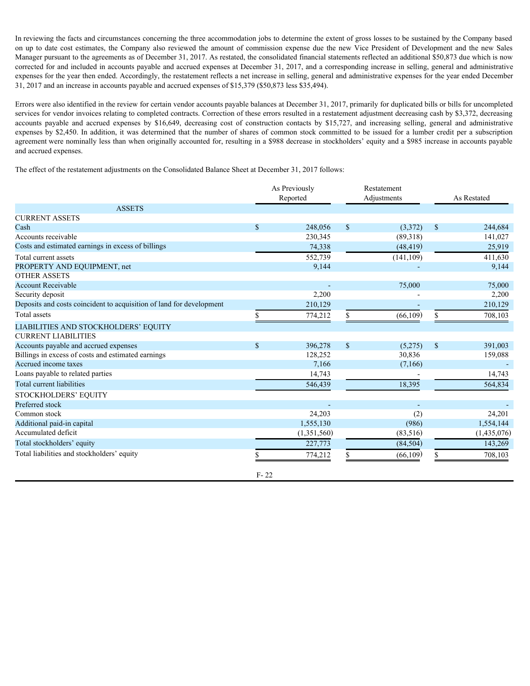In reviewing the facts and circumstances concerning the three accommodation jobs to determine the extent of gross losses to be sustained by the Company based In reviewing the facts and circumstances concerning the three accommodation jobs to determine the extent of gross losses to be sustained by the Company based<br>on up to date cost estimates, the Company also reviewed the amou Manager pursuant to the agreements as of December 31, 2017. As restated, the consolidated financial statements reflected an additional \$50,873 due which is now corrected for and included in accounts payable and accrued expenses at December 31, 2017, and a corresponding increase in selling, general and administrative expenses for the year then ended. Accordingly, the restatement reflects a net increase in selling, general and administrative expenses for the year ended December 31, 2017 and an increase in accounts payable and accrued expenses of \$15,379 (\$50,873 less \$35,494).

Errors were also identified in the review for certain vendor accounts payable balances at December 31, 2017, primarily for duplicated bills or bills for uncompleted services for vendor invoices relating to completed contracts. Correction of these errors resulted in a restatement adjustment decreasing cash by \$3,372, decreasing In reviewing the facts and circumstances concerning the three accommodation jobs to determine the extent of gross losses to be sustained by the Company base<br>on on p to date cost estimates, the Company also reviewed the ano expenses by \$2,450. In addition, it was determined that the number of shares of common stock committed to be issued for a lumber credit per a subscription agreement were nominally less than when originally accounted for, resulting in a \$988 decrease in stockholders' equity and a \$985 increase in accounts payable and accrued expenses.

The effect of the restatement adjustments on the Consolidated Balance Sheet at December 31, 2017 follows:

|                                                                      |              | As Previously<br>Reported | Restatement<br>Adjustments |            |      | As Restated |
|----------------------------------------------------------------------|--------------|---------------------------|----------------------------|------------|------|-------------|
| <b>ASSETS</b>                                                        |              |                           |                            |            |      |             |
| <b>CURRENT ASSETS</b>                                                |              |                           |                            |            |      |             |
| Cash                                                                 | $\mathbf{s}$ | 248,056                   | $\sqrt{\ }$                | (3,372)    | \$   | 244,684     |
| Accounts receivable                                                  |              | 230,345                   |                            | (89,318)   |      | 141,027     |
| Costs and estimated earnings in excess of billings                   |              | 74,338                    |                            | (48, 419)  |      | 25,919      |
| Total current assets                                                 |              | 552,739                   |                            | (141, 109) |      | 411,630     |
| PROPERTY AND EQUIPMENT, net                                          |              | 9,144                     |                            |            |      | 9,144       |
| <b>OTHER ASSETS</b>                                                  |              |                           |                            |            |      |             |
| <b>Account Receivable</b>                                            |              |                           |                            | 75,000     |      | 75,000      |
| Security deposit                                                     |              | 2,200                     |                            |            |      | 2,200       |
| Deposits and costs coincident to acquisition of land for development |              | 210,129                   |                            |            |      | 210,129     |
| Total assets                                                         |              | 774,212                   |                            | (66, 109)  |      | 708,103     |
| LIABILITIES AND STOCKHOLDERS' EQUITY                                 |              |                           |                            |            |      |             |
| <b>CURRENT LIABILITIES</b>                                           |              |                           |                            |            |      |             |
| Accounts payable and accrued expenses                                | $\mathbf{s}$ | 396,278                   | $\mathcal{S}$              | (5,275)    | $\$$ | 391,003     |
| Billings in excess of costs and estimated earnings                   |              | 128,252                   |                            | 30,836     |      | 159,088     |
| Accrued income taxes                                                 |              | 7,166                     |                            | (7,166)    |      |             |
| Loans payable to related parties                                     |              | 14,743                    |                            |            |      | 14,743      |
| Total current liabilities                                            |              | 546,439                   |                            | 18,395     |      | 564,834     |
| STOCKHOLDERS' EQUITY                                                 |              |                           |                            |            |      |             |
| Preferred stock                                                      |              |                           |                            |            |      |             |
| Common stock                                                         |              | 24,203                    |                            | (2)        |      | 24,201      |
| Additional paid-in capital                                           |              | 1,555,130                 |                            | (986)      |      | 1,554,144   |
| Accumulated deficit                                                  |              | (1,351,560)               |                            | (83, 516)  |      | (1,435,076) |
| Total stockholders' equity                                           |              | 227,773                   |                            | (84, 504)  |      | 143,269     |
| Total liabilities and stockholders' equity                           |              | 774,212                   |                            | (66, 109)  |      | 708,103     |
|                                                                      | $F - 22$     |                           |                            |            |      |             |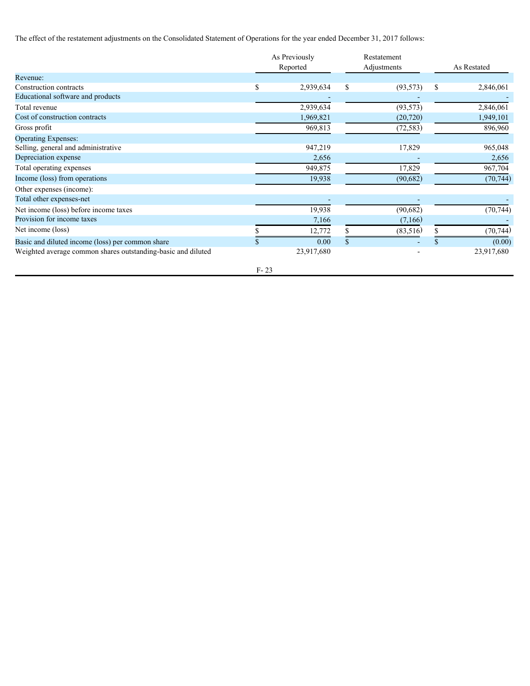The effect of the restatement adjustments on the Consolidated Statement of Operations for the year ended December 31, 2017 follows:

|                                                              |        | As Previously<br>Reported | Restatement<br>Adjustments |   | As Restated |  |
|--------------------------------------------------------------|--------|---------------------------|----------------------------|---|-------------|--|
| Revenue:                                                     |        |                           |                            |   |             |  |
| Construction contracts                                       |        | 2,939,634                 | (93, 573)                  | S | 2,846,061   |  |
| Educational software and products                            |        |                           |                            |   |             |  |
| Total revenue                                                |        | 2,939,634                 | (93, 573)                  |   | 2,846,061   |  |
| Cost of construction contracts                               |        | 1,969,821                 | (20, 720)                  |   | 1,949,101   |  |
| Gross profit                                                 |        | 969,813                   | (72, 583)                  |   | 896,960     |  |
| <b>Operating Expenses:</b>                                   |        |                           |                            |   |             |  |
| Selling, general and administrative                          |        | 947,219                   | 17,829                     |   | 965,048     |  |
| Depreciation expense                                         |        | 2,656                     |                            |   | 2,656       |  |
| Total operating expenses                                     |        | 949,875                   | 17,829                     |   | 967,704     |  |
| Income (loss) from operations                                |        | 19,938                    | (90,682)                   |   | (70, 744)   |  |
| Other expenses (income):                                     |        |                           |                            |   |             |  |
| Total other expenses-net                                     |        |                           |                            |   |             |  |
| Net income (loss) before income taxes                        |        | 19,938                    | (90, 682)                  |   | (70, 744)   |  |
| Provision for income taxes                                   |        | 7,166                     | (7,166)                    |   |             |  |
| Net income (loss)                                            |        | 12,772                    | (83, 516)                  |   | (70, 744)   |  |
| Basic and diluted income (loss) per common share             |        | 0.00                      |                            |   | (0.00)      |  |
| Weighted average common shares outstanding-basic and diluted |        | 23,917,680                |                            |   | 23,917,680  |  |
|                                                              | $F-23$ |                           |                            |   |             |  |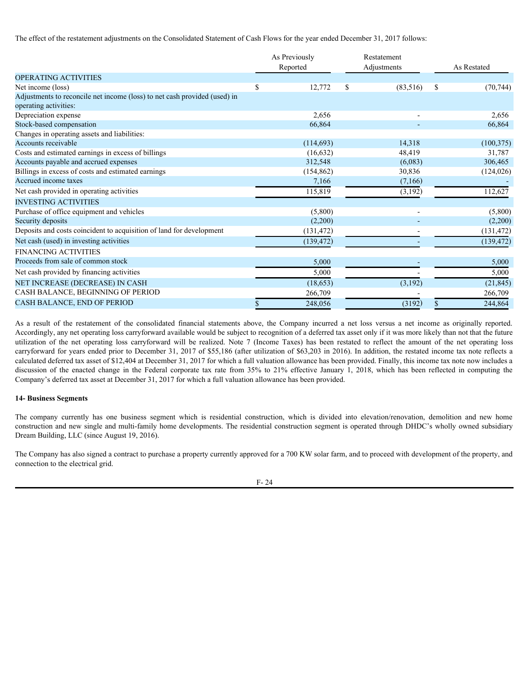The effect of the restatement adjustments on the Consolidated Statement of Cash Flows for the year ended December 31, 2017 follows:

|                                                                                                                                                                                                                                                                                                                                                                                                                                                                                                                                                                                                              | As Previously<br>Reported                | Restatement<br>Adjustments | As Restated                              |
|--------------------------------------------------------------------------------------------------------------------------------------------------------------------------------------------------------------------------------------------------------------------------------------------------------------------------------------------------------------------------------------------------------------------------------------------------------------------------------------------------------------------------------------------------------------------------------------------------------------|------------------------------------------|----------------------------|------------------------------------------|
| OPERATING ACTIVITIES                                                                                                                                                                                                                                                                                                                                                                                                                                                                                                                                                                                         |                                          |                            |                                          |
| Net income (loss)                                                                                                                                                                                                                                                                                                                                                                                                                                                                                                                                                                                            | <sup>\$</sup><br>12,772                  | (83, 516)<br><sup>S</sup>  | -S<br>(70, 744)                          |
| Adjustments to reconcile net income (loss) to net cash provided (used) in<br>operating activities:                                                                                                                                                                                                                                                                                                                                                                                                                                                                                                           |                                          |                            |                                          |
| Depreciation expense                                                                                                                                                                                                                                                                                                                                                                                                                                                                                                                                                                                         | 2,656                                    |                            | 2,656                                    |
| Stock-based compensation                                                                                                                                                                                                                                                                                                                                                                                                                                                                                                                                                                                     | 66.864                                   |                            | 66,864                                   |
| Changes in operating assets and liabilities:                                                                                                                                                                                                                                                                                                                                                                                                                                                                                                                                                                 |                                          |                            |                                          |
| Accounts receivable                                                                                                                                                                                                                                                                                                                                                                                                                                                                                                                                                                                          | (114,693)                                | 14,318                     | (100, 375)                               |
| Costs and estimated earnings in excess of billings                                                                                                                                                                                                                                                                                                                                                                                                                                                                                                                                                           | (16, 632)                                | 48,419                     | 31,787                                   |
| Accounts payable and accrued expenses                                                                                                                                                                                                                                                                                                                                                                                                                                                                                                                                                                        | 312,548                                  | (6,083)                    | 306,465                                  |
| Billings in excess of costs and estimated earnings                                                                                                                                                                                                                                                                                                                                                                                                                                                                                                                                                           | (154, 862)                               | 30,836                     | (124, 026)                               |
| Accrued income taxes                                                                                                                                                                                                                                                                                                                                                                                                                                                                                                                                                                                         | 7,166                                    | (7,166)                    |                                          |
| Net cash provided in operating activities                                                                                                                                                                                                                                                                                                                                                                                                                                                                                                                                                                    | 115,819                                  | (3,192)                    | 112,627                                  |
| <b>INVESTING ACTIVITIES</b>                                                                                                                                                                                                                                                                                                                                                                                                                                                                                                                                                                                  |                                          |                            |                                          |
| Purchase of office equipment and vehicles                                                                                                                                                                                                                                                                                                                                                                                                                                                                                                                                                                    | (5,800)                                  |                            | (5,800)                                  |
| Security deposits                                                                                                                                                                                                                                                                                                                                                                                                                                                                                                                                                                                            | (2,200)                                  |                            | (2,200)                                  |
| Deposits and costs coincident to acquisition of land for development                                                                                                                                                                                                                                                                                                                                                                                                                                                                                                                                         | (131, 472)                               |                            | (131, 472)                               |
| Net cash (used) in investing activities                                                                                                                                                                                                                                                                                                                                                                                                                                                                                                                                                                      | (139, 472)                               |                            | (139, 472)                               |
| <b>FINANCING ACTIVITIES</b>                                                                                                                                                                                                                                                                                                                                                                                                                                                                                                                                                                                  |                                          |                            |                                          |
| Proceeds from sale of common stock                                                                                                                                                                                                                                                                                                                                                                                                                                                                                                                                                                           | 5,000                                    |                            | 5,000                                    |
|                                                                                                                                                                                                                                                                                                                                                                                                                                                                                                                                                                                                              |                                          |                            |                                          |
|                                                                                                                                                                                                                                                                                                                                                                                                                                                                                                                                                                                                              |                                          |                            |                                          |
|                                                                                                                                                                                                                                                                                                                                                                                                                                                                                                                                                                                                              |                                          |                            |                                          |
|                                                                                                                                                                                                                                                                                                                                                                                                                                                                                                                                                                                                              |                                          |                            |                                          |
|                                                                                                                                                                                                                                                                                                                                                                                                                                                                                                                                                                                                              |                                          |                            |                                          |
| Net cash provided by financing activities<br>NET INCREASE (DECREASE) IN CASH<br>CASH BALANCE, BEGINNING OF PERIOD<br>CASH BALANCE, END OF PERIOD                                                                                                                                                                                                                                                                                                                                                                                                                                                             | 5,000<br>(18, 653)<br>266,709<br>248,056 | (3,192)<br>(3192)          | 5,000<br>(21, 845)<br>266,709<br>244,864 |
| utilization of the net operating loss carryforward will be realized. Note 7 (Income Taxes) has been restated to reflect the amount of the net operating loss<br>carryforward for years ended prior to December 31, 2017 of \$55,186 (after utilization of \$63,203 in 2016). In addition, the restated income tax note reflects a<br>calculated deferred tax asset of \$12,404 at December 31, 2017 for which a full valuation allowance has been provided. Finally, this income tax note now includes a                                                                                                     |                                          |                            |                                          |
| As a result of the restatement of the consolidated financial statements above, the Company incurred a net loss versus a net income as originally reported.<br>Accordingly, any net operating loss carryforward available would be subject to recognition of a deferred tax asset only if it was more likely than not that the future<br>discussion of the enacted change in the Federal corporate tax rate from 35% to 21% effective January 1, 2018, which has been reflected in computing the<br>Company's deferred tax asset at December 31, 2017 for which a full valuation allowance has been provided. |                                          |                            |                                          |
| <b>14- Business Segments</b>                                                                                                                                                                                                                                                                                                                                                                                                                                                                                                                                                                                 |                                          |                            |                                          |
| The company currently has one business segment which is residential construction, which is divided into elevation/renovation, demolition and new home<br>construction and new single and multi-family home developments. The residential construction segment is operated through DHDC's wholly owned subsidiary<br>Dream Building, LLC (since August 19, 2016).                                                                                                                                                                                                                                             |                                          |                            |                                          |
| The Company has also signed a contract to purchase a property currently approved for a 700 KW solar farm, and to proceed with development of the property, and<br>connection to the electrical grid.                                                                                                                                                                                                                                                                                                                                                                                                         |                                          |                            |                                          |

## **14- Business Segments**

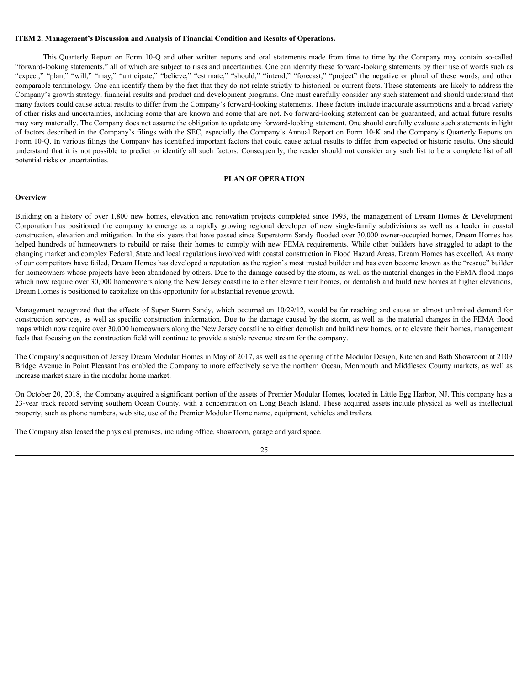#### <span id="page-24-0"></span>**ITEM 2. Management's Discussion and Analysis of Financial Condition and Results of Operations.**

**Management's Discussion and Analysis of Financial Condition and Results of Operations.**<br>This Quarterly Report on Form 10-Q and other written reports and oral statements made from time to time by the Company may contain so "forward-looking statements," all of which are subject to risks and uncertainties. One can identify these forward-looking statements by their use of words such as TTEM 2. Management's Discussion and Analysis of Financial Condition and Results of Operations.<br>
This Quarterly Report on Form 10-Q and other written reports and oral statements made from time to time by the Company may con comparable terminology. One can identify them by the fact that they do not relate strictly to historical or current facts. These statements are likely to address the Company's growth strategy, financial results and product and development programs. One must carefully consider any such statement and should understand that many factors could cause actual results to differ from the Company's forward-looking statements. These factors include inaccurate assumptions and a broad variety of other risks and uncertainties, including some that are known and some that are not. No forward-looking statement can be guaranteed, and actual future results may vary materially. The Company does not assume the obligation to update any forward-looking statement. One should carefully evaluate such statements in light of factors described in the Company's filings with the SEC, especially the Company's Annual Report on Form 10-K and the Company's Quarterly Reports on Form 10-Q. In various filings the Company has identified important factors that could cause actual results to differ from expected or historic results. One should understand that it is not possible to predict or identify all such factors. Consequently, the reader should not consider any such list to be a complete list of all potential risks or uncertainties. **ITEM 2. Management's Discussion and Analysis of Financial Condition and Results of Operations.**<br>
This Quartely Report on Form 10-Q and other written reports and one all order mirrecial from time by the Conquary may conti **TTEM 2. Management's Discussion and Analysis of Financial Condition and Results of Operations.**<br>
This Quarterly Report on Form 10-Q and other witten reports and other stands are from time to time by the Company may conta

#### **PLAN OF OPERATION**

#### **Overview Overview** *Overview*

construction, elevation and mitigation. In the six years that have passed since Superstorm Sandy flooded over 30,000 owner-occupied homes, Dream Homes has helped hundreds of homeowners to rebuild or raise their homes to comply with new FEMA requirements. While other builders have struggled to adapt to the changing market and complex Federal, State and local regulations involved with coastal construction in Flood Hazard Areas, Dream Homes has excelled. As many of our competitors have failed, Dream Homes has developed a reputation as the region's most trusted builder and has even become known as the "rescue" builder for homeowners whose projects have been abandoned by others. Due to the damage caused by the storm, as well as the material changes in the FEMA flood maps which now require over 30,000 homeowners along the New Jersey coastline to either elevate their homes, or demolish and build new homes at higher elevations, Dream Homes is positioned to capitalize on this opportunity for substantial revenue growth.

Management recognized that the effects of Super Storm Sandy, which occurred on 10/29/12, would be far reaching and cause an almost unlimited demand for construction services, as well as specific construction information. Due to the damage caused by the storm, as well as the material changes in the FEMA flood maps which now require over 30,000 homeowners along the New Jersey coastline to either demolish and build new homes, or to elevate their homes, management feels that focusing on the construction field will continue to provide a stable revenue stream for the company.

The Company's acquisition of Jersey Dream Modular Homes in May of 2017, as well as the opening of the Modular Design, Kitchen and Bath Showroom at 2109 Bridge Avenue in Point Pleasant has enabled the Company to more effectively serve the northern Ocean, Monmouth and Middlesex County markets, as well as increase market share in the modular home market.

On October 20, 2018, the Company acquired a significant portion of the assets of Premier Modular Homes, located in Little Egg Harbor, NJ. This company has a 23-year track record serving southern Ocean County, with a concentration on Long Beach Island. These acquired assets include physical as well as intellectual property, such as phone numbers, web site, use of the Premier Modular Home name, equipment, vehicles and trailers.

The Company also leased the physical premises, including office, showroom, garage and yard space.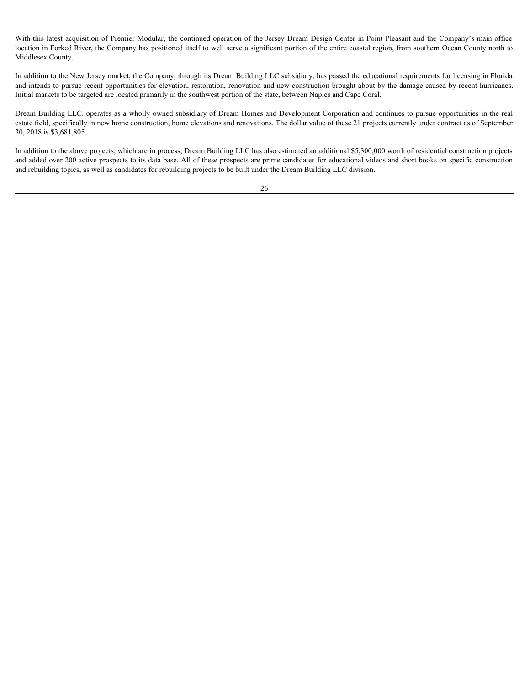With this latest acquisition of Premier Modular, the continued operation of the Jersey Dream Design Center in Point Pleasant and the Company's main office location in Forked River, the Company has positioned itself to well serve a significant portion of the entire coastal region, from southern Ocean County north to Middlesex County.

In addition to the New Jersey market, the Company, through its Dream Building LLC subsidiary, has passed the educational requirements for licensing in Florida and intends to pursue recent opportunities for elevation, restoration, renovation and new construction brought about by the damage caused by recent hurricanes. Initial markets to be targeted are located primarily in the southwest portion of the state, between Naples and Cape Coral.

Dream Building LLC. operates as a wholly owned subsidiary of Dream Homes and Development Corporation and continues to pursue opportunities in the real estate field, specifically in new home construction, home elevations and renovations. The dollar value of these 21 projects currently under contract as of September 30, 2018 is \$3,681,805.

In addition to the above projects, which are in process, Dream Building LLC has also estimated an additional \$5,300,000 worth of residential construction projects and added over 200 active prospects to its data base. All of these prospects are prime candidates for educational videos and short books on specific construction and rebuilding topics, as well as candidates for rebuilding projects to be built under the Dream Building LLC division.

26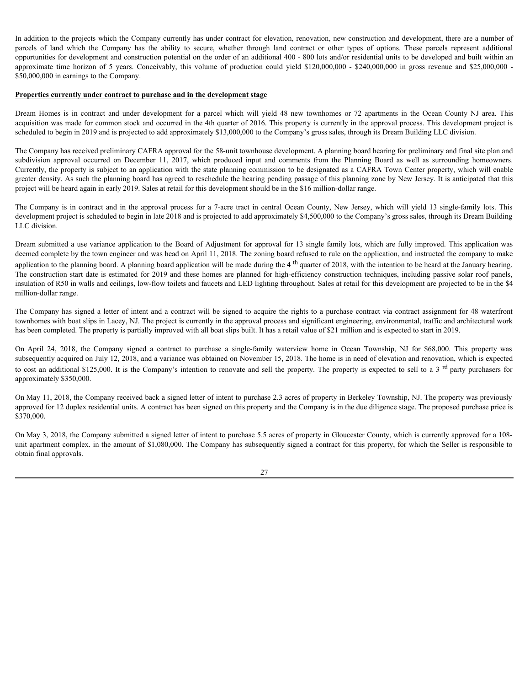In addition to the projects which the Company currently has under contract for elevation, renovation, new construction and development, there are a number of In addition to the projects which the Company currently has under contract for elevation, renovation, new construction and development, there are a number of parcels of land which the Company has the ability to secure, whe opportunities for development and construction potential on the order of an additional 400 - 800 lots and/or residential units to be developed and built within an In addition to the projects which the Company eurrently has under contract for elevation, renovation, new construction and development, there are a number of parcels of land which the Company has the ability to secure, whe \$50,000,000 in earnings to the Company. In addition to the projects which the Company currently has under contract for elevation, renovation, new construction and development, there are a number of<br>parcels of land which the Company has the ability to secure, whe

#### **Properties currently under contract to purchase and in the development stage**

acquisition was made for common stock and occurred in the 4th quarter of 2016. This property is currently in the approval process. This development project is scheduled to begin in 2019 and is projected to add approximately \$13,000,000 to the Company's gross sales, through its Dream Building LLC division.

The Company has received preliminary CAFRA approval for the 58-unit townhouse development. A planning board hearing for preliminary and final site plan and In addition to the projects which the Company currently has under contract for elevation, renovation, new construction and development, there are a number of protects of land which the Company isse the ability to securre, Currently, the property is subject to an application with the state planning commission to be designated as a CAFRA Town Center property, which will enable greater density. As such the planning board has agreed to reschedule the hearing pending passage of this planning zone by New Jersey. It is anticipated that this project will be heard again in early 2019. Sales at retail for this development should be in the \$16 million-dollar range. In addition to the projects which the Company currently has under contract for elevation, renovation, new construction and development, there are number of propertions of the abundant particular corrects of an additional

development project is scheduled to begin in late 2018 and is projected to add approximately \$4,500,000 to the Company's gross sales, through its Dream Building LLC division.

Dream submitted a use variance application to the Board of Adjustment for approval for 13 single family lots, which are fully improved. This application was deemed complete by the town engineer and was head on April 11, 2018. The zoning board refused to rule on the application, and instructed the company to make application to the planning board. A planning board application will be made during the 4<sup>th</sup> quarter of 2018, with the intention to be heard at the January hearing. The construction start date is estimated for 2019 and these homes are planned for high-efficiency construction techniques, including passive solar roof panels, insulation of R50 in walls and ceilings, low-flow toilets and faucets and LED lighting throughout. Sales at retail for this development are projected to be in the \$4 million-dollar range. approaches the board external in System Contract to purchase and the company in the company in the company in the company in the company in the company in the company in the company in the company in the company in the com **Pronerties corrected ander contract to purchase and in the development stage<br>Decom Hones is to contract on doth decohyposed for a partic which will yield 45 new cosmbons or 72 apartments in the Company incorrect interest** 

The Company has signed a letter of intent and a contract will be signed to acquire the rights to a purchase contract via contract assignment for 48 waterfront townhomes with boat slips in Lacey, NJ. The project is currently in the approval process and significant engineering, environmental, traffic and architectural work has been completed. The property is partially improved with all boat slips built. It has a retail value of \$21 million and is expected to start in 2019.

subsequently acquired on July 12, 2018, and a variance was obtained on November 15, 2018. The home is in need of elevation and renovation, which is expected approximately \$350,000.

On May 11, 2018, the Company received back a signed letter of intent to purchase 2.3 acres of property in Berkeley Township, NJ. The property was previously approved for 12 duplex residential units. A contract has been signed on this property and the Company is in the due diligence stage. The proposed purchase price is \$370,000.

On May 3, 2018, the Company submitted a signed letter of intent to purchase 5.5 acres of property in Gloucester County, which is currently approved for a 108 unit apartment complex. in the amount of \$1,080,000. The Company has subsequently signed a contract for this property, for which the Seller is responsible to obtain final approvals.

27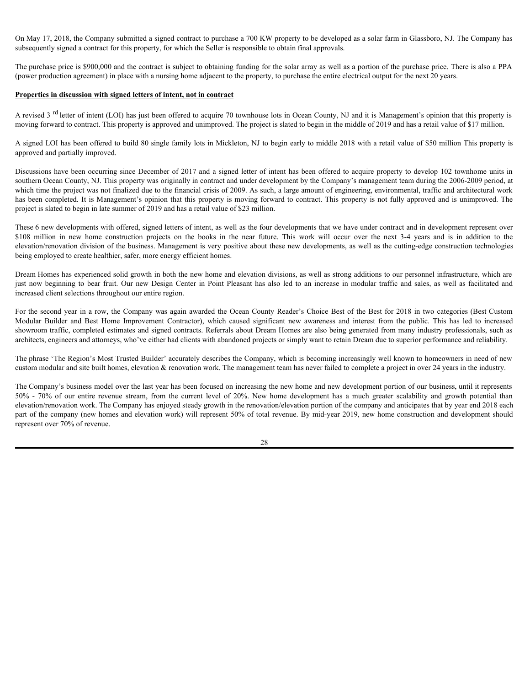On May 17, 2018, the Company submitted a signed contract to purchase a 700 KW property to be developed as a solar farm in Glassboro, NJ. The Company has subsequently signed a contract for this property, for which the Seller is responsible to obtain final approvals.

The purchase price is \$900,000 and the contract is subject to obtaining funding for the solar array as well as a portion of the purchase price. There is also a PPA (power production agreement) in place with a nursing home adjacent to the property, to purchase the entire electrical output for the next 20 years.

#### **Properties in discussion with signed letters of intent, not in contract**

A revised 3<sup>rd</sup> letter of intent (LOI) has just been offered to acquire 70 townhouse lots in Ocean County, NJ and it is Management's opinion that this property is moving forward to contract. This property is approved and unimproved. The project is slated to begin in the middle of 2019 and has a retail value of \$17 million.

A signed LOI has been offered to build 80 single family lots in Mickleton, NJ to begin early to middle 2018 with a retail value of \$50 million This property is approved and partially improved.

Discussions have been occurring since December of 2017 and a signed letter of intent has been offered to acquire property to develop 102 townhome units in southern Ocean County, NJ. This property was originally in contract and under development by the Company's management team during the 2006-2009 period, at which time the project was not finalized due to the financial crisis of 2009. As such, a large amount of engineering, environmental, traffic and architectural work has been completed. It is Management's opinion that this property is moving forward to contract. This property is not fully approved and is unimproved. The project is slated to begin in late summer of 2019 and has a retail value of \$23 million. On May 17, 2018, the Company submitted a signed contract to purchase a 700 KW property to be developed as a stall firm in Glassboro, NJ. The Company has subsequently signed a contract for this property, for which the Sell (b) May 17, 2018, the Company submitted a signed carriers in purchase 3.70 KV property to be developed as solar film in Glassicopy. If The Company has delived for the actual carriers in the model of the form in the propert On Mot 17, 2018, the Company showing a signed here in produces in NoW property is what the developed as a solit firm in Greatory. NT The Company has the developed as a solit first the contract in the public term of the si

These 6 new developments with offered, signed letters of intent, as well as the four developments that we have under contract and in development represent over elevation/renovation division of the business. Management is very positive about these new developments, as well as the cutting-edge construction technologies being employed to create healthier, safer, more energy efficient homes.

Dream Homes has experienced solid growth in both the new home and elevation divisions, as well as strong additions to our personnel infrastructure, which are increased client selections throughout our entire region.

For the second year in a row, the Company was again awarded the Ocean County Reader's Choice Best of the Best for 2018 in two categories (Best Custom showroom traffic, completed estimates and signed contracts. Referrals about Dream Homes are also being generated from many industry professionals, such as architects, engineers and attorneys, who've either had clients with abandoned projects or simply want to retain Dream due to superior performance and reliability.

The phrase 'The Region's Most Trusted Builder' accurately describes the Company, which is becoming increasingly well known to homeowners in need of new custom modular and site built homes, elevation & renovation work. The management team has never failed to complete a project in over 24 years in the industry.

The Company's business model over the last year has been focused on increasing the new home and new development portion of our business, until it represents A sweed <sup>134</sup> believe of ment (10% how join there who how the his to constant their New Toten Courty, NJ and is New Yorkers of the Courty of 20% and its New Yorkers of 20% and the current's entire the strength of 20% and t elevation/renovation work. The Company has enjoyed steady growth in the renovation/elevation portion of the company and anticipates that by year end 2018 each part of the company (new homes and elevation work) will represent 50% of total revenue. By mid-year 2019, new home construction and development should represent over 70% of revenue.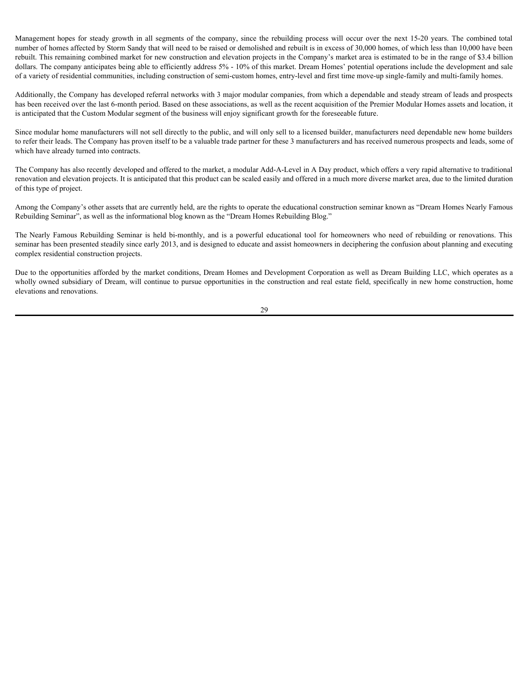Management hopes for steady growth in all segments of the company, since the rebuilding process will occur over the next 15-20 years. The combined total number of homes affected by Storm Sandy that will need to be raised o number of homes affected by Storm Sandy that will need to be raised or demolished and rebuilt is in excess of 30,000 homes, of which less than 10,000 have been rebuilt. This remaining combined market for new construction and elevation projects in the Company's market area is estimated to be in the range of \$3.4 billion dollars. The company anticipates being able to efficiently address 5% - 10% of this market. Dream Homes' potential operations include the development and sale of a variety of residential communities, including construction of semi-custom homes, entry-level and first time move-up single-family and multi-family homes. Management hopes for steady growth in all segments of the company, since the rebuilding process will occur over the next 15-30 years. The combined total<br>mamber of thoses Birclets by Som SamS that will need to braned or fr

Additionally, the Company has developed referral networks with 3 major modular companies, from which a dependable and steady stream of leads and prospects has been received over the last 6-month period. Based on these associations, as well as the recent acquisition of the Premier Modular Homes assets and location, it is anticipated that the Custom Modular segment of the business will enjoy significant growth for the foreseeable future.

Since modular home manufacturers will not sell directly to the public, and will only sell to a licensed builder, manufacturers need dependable new home builders to refer their leads. The Company has proven itself to be a valuable trade partner for these 3 manufacturers and has received numerous prospects and leads, some of which have already turned into contracts.

The Company has also recently developed and offered to the market, a modular Add-A-Level in A Day product, which offers a very rapid alternative to traditional renovation and elevation projects. It is anticipated that this product can be scaled easily and offered in a much more diverse market area, due to the limited duration of this type of project.

Among the Company's other assets that are currently held, are the rights to operate the educational construction seminar known as "Dream Homes Nearly Famous Rebuilding Seminar", as well as the informational blog known as the "Dream Homes Rebuilding Blog."

seminar has been presented steadily since early 2013, and is designed to educate and assist homeowners in deciphering the confusion about planning and executing complex residential construction projects.

Due to the opportunities afforded by the market conditions, Dream Homes and Development Corporation as well as Dream Building LLC, which operates as a wholly owned subsidiary of Dream, will continue to pursue opportunities in the construction and real estate field, specifically in new home construction, home elevations and renovations.

29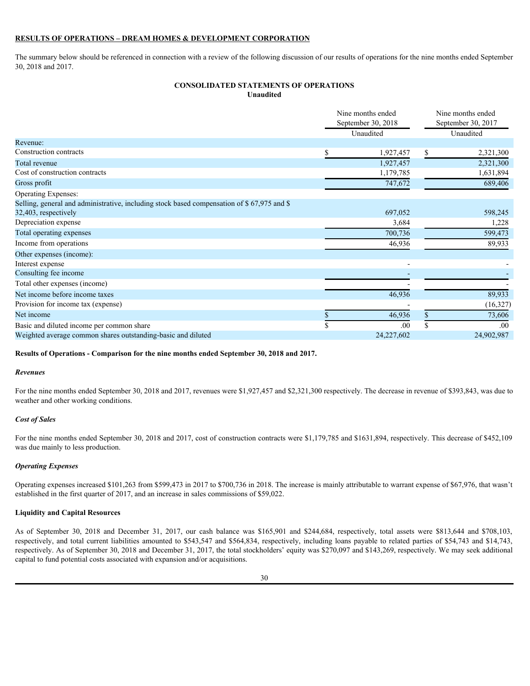### **RESULTS OF OPERATIONS – DREAM HOMES & DEVELOPMENT CORPORATION**

The summary below should be referenced in connection with a review of the following discussion of our results of operations for the nine months ended September 30, 2018 and 2017.

## **CONSOLIDATED STATEMENTS OF OPERATIONS Unaudited**

| September 30, 2018<br>Unaudited<br>1,927,457<br>1,927,457<br>1,179,785<br>747,672<br>697,052<br>3,684<br>700,736<br>46,936 | September 30, 2017<br>Unaudited<br>S<br>2,321,300<br>2,321,300<br>1,631,894<br>689,406<br>598,245<br>1,228<br>599,473<br>89,933                                                                                                                                                                                                                                                                                                                                                                 |
|----------------------------------------------------------------------------------------------------------------------------|-------------------------------------------------------------------------------------------------------------------------------------------------------------------------------------------------------------------------------------------------------------------------------------------------------------------------------------------------------------------------------------------------------------------------------------------------------------------------------------------------|
|                                                                                                                            |                                                                                                                                                                                                                                                                                                                                                                                                                                                                                                 |
|                                                                                                                            |                                                                                                                                                                                                                                                                                                                                                                                                                                                                                                 |
|                                                                                                                            |                                                                                                                                                                                                                                                                                                                                                                                                                                                                                                 |
|                                                                                                                            |                                                                                                                                                                                                                                                                                                                                                                                                                                                                                                 |
|                                                                                                                            |                                                                                                                                                                                                                                                                                                                                                                                                                                                                                                 |
|                                                                                                                            |                                                                                                                                                                                                                                                                                                                                                                                                                                                                                                 |
|                                                                                                                            |                                                                                                                                                                                                                                                                                                                                                                                                                                                                                                 |
|                                                                                                                            |                                                                                                                                                                                                                                                                                                                                                                                                                                                                                                 |
|                                                                                                                            |                                                                                                                                                                                                                                                                                                                                                                                                                                                                                                 |
|                                                                                                                            |                                                                                                                                                                                                                                                                                                                                                                                                                                                                                                 |
|                                                                                                                            |                                                                                                                                                                                                                                                                                                                                                                                                                                                                                                 |
|                                                                                                                            |                                                                                                                                                                                                                                                                                                                                                                                                                                                                                                 |
|                                                                                                                            |                                                                                                                                                                                                                                                                                                                                                                                                                                                                                                 |
|                                                                                                                            |                                                                                                                                                                                                                                                                                                                                                                                                                                                                                                 |
|                                                                                                                            |                                                                                                                                                                                                                                                                                                                                                                                                                                                                                                 |
|                                                                                                                            |                                                                                                                                                                                                                                                                                                                                                                                                                                                                                                 |
| 46,936                                                                                                                     | 89,933                                                                                                                                                                                                                                                                                                                                                                                                                                                                                          |
|                                                                                                                            | (16,327)                                                                                                                                                                                                                                                                                                                                                                                                                                                                                        |
|                                                                                                                            | 73,606                                                                                                                                                                                                                                                                                                                                                                                                                                                                                          |
|                                                                                                                            | .00.                                                                                                                                                                                                                                                                                                                                                                                                                                                                                            |
|                                                                                                                            | 24,902,987                                                                                                                                                                                                                                                                                                                                                                                                                                                                                      |
|                                                                                                                            | For the nine months ended September 30, 2018 and 2017, revenues were \$1,927,457 and \$2,321,300 respectively. The decrease in revenue of \$393,843, was due to                                                                                                                                                                                                                                                                                                                                 |
|                                                                                                                            |                                                                                                                                                                                                                                                                                                                                                                                                                                                                                                 |
|                                                                                                                            | For the nine months ended September 30, 2018 and 2017, cost of construction contracts were \$1,179,785 and \$1631,894, respectively. This decrease of \$452,109                                                                                                                                                                                                                                                                                                                                 |
|                                                                                                                            |                                                                                                                                                                                                                                                                                                                                                                                                                                                                                                 |
|                                                                                                                            | Operating expenses increased \$101,263 from \$599,473 in 2017 to \$700,736 in 2018. The increase is mainly attributable to warrant expense of \$67,976, that wasn't                                                                                                                                                                                                                                                                                                                             |
|                                                                                                                            |                                                                                                                                                                                                                                                                                                                                                                                                                                                                                                 |
|                                                                                                                            | As of September 30, 2018 and December 31, 2017, our cash balance was \$165,901 and \$244,684, respectively, total assets were \$813,644 and \$708,103,<br>respectively, and total current liabilities amounted to \$543,547 and \$564,834, respectively, including loans payable to related parties of \$54,743 and \$14,743,<br>respectively. As of September 30, 2018 and December 31, 2017, the total stockholders' equity was \$270,097 and \$143,269, respectively. We may seek additional |
|                                                                                                                            |                                                                                                                                                                                                                                                                                                                                                                                                                                                                                                 |
|                                                                                                                            | 46,936<br>.00<br>24,227,602                                                                                                                                                                                                                                                                                                                                                                                                                                                                     |

#### **Results of Operations - Comparison for the nine months ended September 30, 2018 and 2017.**

#### *Revenues*

#### *Cost of Sales*

#### *Operating Expenses*

#### **Liquidity and Capital Resources**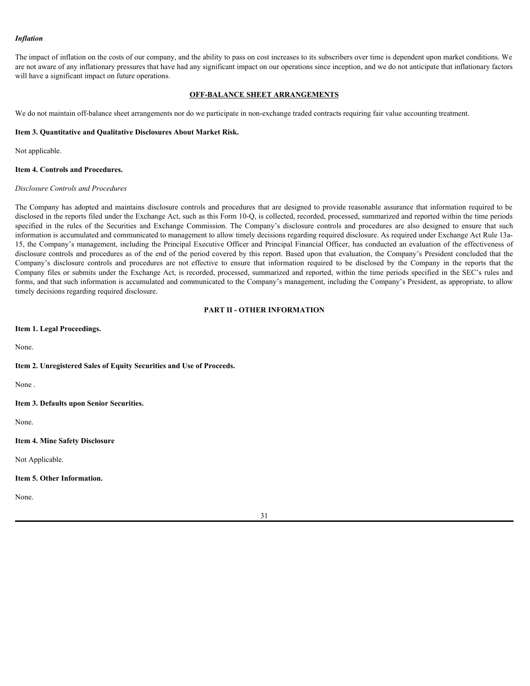#### *Inflation*

The impact of inflation on the costs of our company, and the ability to pass on cost increases to its subscribers over time is dependent upon market conditions. We are not aware of any inflationary pressures that have had any significant impact on our operations since inception, and we do not anticipate that inflationary factors will have a significant impact on future operations.

#### **OFF-BALANCE SHEET ARRANGEMENTS**

We do not maintain off-balance sheet arrangements nor do we participate in non-exchange traded contracts requiring fair value accounting treatment.

#### <span id="page-30-0"></span>**Item 3. Quantitative and Qualitative Disclosures About Market Risk.**

Not applicable.

#### <span id="page-30-1"></span>**Item 4. Controls and Procedures.**

#### *Disclosure Controls and Procedures*

The Company has adopted and maintains disclosure controls and procedures that are designed to provide reasonable assurance that information required to be disclosed in the reports filed under the Exchange Act, such as this Form 10-Q, is collected, recorded, processed, summarized and reported within the time periods **Influition**<br>
IThe limpact of influition on the costs of our company, and the ability to pass on continerates to its subscribes over time is dependent upon market conditions. We<br>can reason of my influitionary pressure that information is accumulated and communicated to management to allow timely decisions regarding required disclosure. As required under Exchange Act Rule 13a-15, the Company's management, including the Principal Executive Officer and Principal Financial Officer, has conducted an evaluation of the effectiveness of disclosure controls and procedures as of the end of the period covered by this report. Based upon that evaluation, the Company's President concluded that the **Inflation**<br>The impact of influiton on the costs of our company, and the ability to pass on osat increases to its autoenches over time is dependent upon market conditions. We<br>not an even of any unifarmery pressures that th Company files or submits under the Exchange Act, is recorded, processed, summarized and reported, within the time periods specified in the SEC's rules and forms, and that such information is accumulated and communicated to the Company's management, including the Company's President, as appropriate, to allow timely decisions regarding required disclosure.

## **PART II - OTHER INFORMATION**

<span id="page-30-3"></span><span id="page-30-2"></span>**Item 1. Legal Proceedings.**

None.

#### <span id="page-30-4"></span>**Item 2. Unregistered Sales of Equity Securities and Use of Proceeds.**

None .

<span id="page-30-5"></span>**Item 3. Defaults upon Senior Securities.**

None.

#### <span id="page-30-6"></span>**Item 4. Mine Safety Disclosure**

Not Applicable.

#### <span id="page-30-7"></span>**Item 5. Other Information.**

None.

#### 31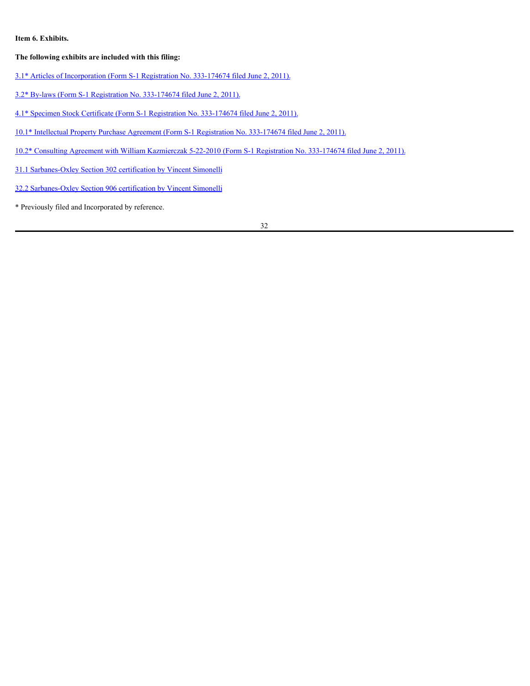## <span id="page-31-0"></span>**Item 6. Exhibits.**

## **The following exhibits are included with this filing:**

- [3.1\\* Articles of Incorporation \(Form S-1 Registration No. 333-174674 filed June 2, 2011\).](https://content.edgar-online.com/ExternalLink/EDGAR/0001518336-11-000003.html?hash=bf7c26299ab327078cb86ef0e16c4de1fe59dd365b15ea62c44e3ad4751b8c0f&dest=EXHIBIT_3ARTICLESOFINCORPORA_HTM)
- [3.2\\* By-laws \(Form S-1 Registration No. 333-174674 filed June 2, 2011\).](https://content.edgar-online.com/ExternalLink/EDGAR/0001518336-11-000003.html?hash=bf7c26299ab327078cb86ef0e16c4de1fe59dd365b15ea62c44e3ad4751b8c0f&dest=BYLAWS_HTM)
- [4.1\\* Specimen Stock Certificate \(Form S-1 Registration No. 333-174674 filed June 2, 2011\).](https://content.edgar-online.com/ExternalLink/EDGAR/0001518336-11-000003.html?hash=bf7c26299ab327078cb86ef0e16c4de1fe59dd365b15ea62c44e3ad4751b8c0f&dest=EX4SAMPLESTOCKCERT_HTM)
- [10.1\\* Intellectual Property Purchase Agreement \(Form S-1 Registration No. 333-174674 filed June 2, 2011\).](https://content.edgar-online.com/ExternalLink/EDGAR/0001518336-11-000003.html?hash=bf7c26299ab327078cb86ef0e16c4de1fe59dd365b15ea62c44e3ad4751b8c0f&dest=AGREEMENTWITHTERRAREIP_HTM)
- [10.2\\* Consulting Agreement with William Kazmierczak 5-22-2010 \(Form S-1 Registration No. 333-174674 filed June 2, 2011\).](https://content.edgar-online.com/ExternalLink/EDGAR/0001518336-11-000003.html?hash=bf7c26299ab327078cb86ef0e16c4de1fe59dd365b15ea62c44e3ad4751b8c0f&dest=EX_101KAZMIERCZACKAGREEMENT0_HTM)
- [31.1 Sarbanes-Oxley Section 302 certification by Vincent Simonelli](#page-33-0)
- [32.2 Sarbanes-Oxley Section 906 certification by Vincent Simonelli](#page-34-0)
- \* Previously filed and Incorporated by reference.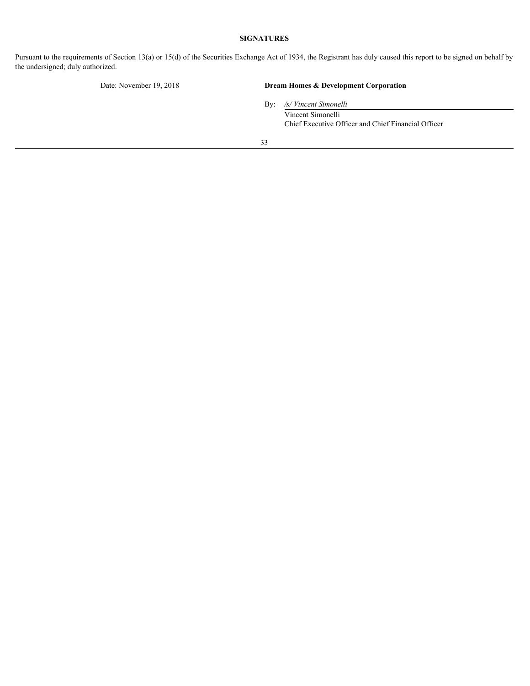## **SIGNATURES**

<span id="page-32-0"></span>Pursuant to the requirements of Section 13(a) or 15(d) of the Securities Exchange Act of 1934, the Registrant has duly caused this report to be signed on behalf by the undersigned; duly authorized.

# Date: November 19, 2018 **Dream Homes & Development Corporation**

By: */s/ Vincent Simonelli*

Vincent Simonelli Chief Executive Officer and Chief Financial Officer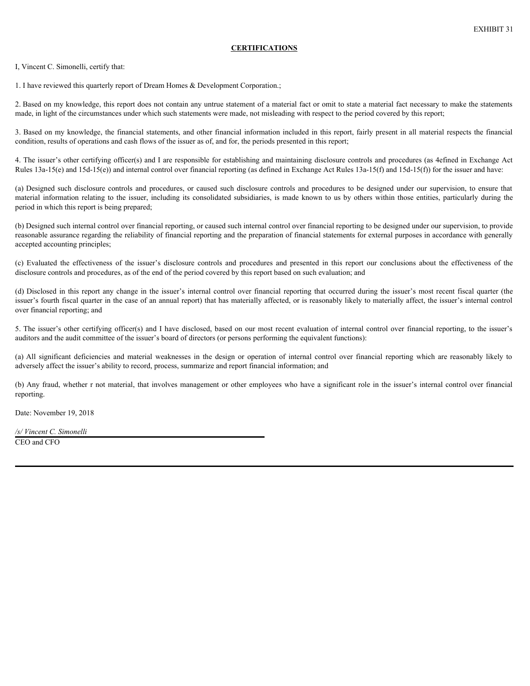### **CERTIFICATIONS**

<span id="page-33-0"></span>I, Vincent C. Simonelli, certify that:

1. I have reviewed this quarterly report of Dream Homes & Development Corporation.;

2. Based on my knowledge, this report does not contain any untrue statement of a material fact or omit to state a material fact necessary to make the statements made, in light of the circumstances under which such statements were made, not misleading with respect to the period covered by this report;

3. Based on my knowledge, the financial statements, and other financial information included in this report, fairly present in all material respects the financial condition, results of operations and cash flows of the issuer as of, and for, the periods presented in this report;

4. The issuer's other certifying officer(s) and I are responsible for establishing and maintaining disclosure controls and procedures (as 4efined in Exchange Act Rules  $13a-15(e)$  and  $15d-15(e)$ ) and internal control over financial reporting (as defined in Exchange Act Rules  $13a-15(f)$ ) and  $15d-15(f)$ ) for the issuer and have:

period in which this report is being prepared;

EXHIBIC ATIONS<br>
EXHIBIT 31<br>
1. I have reviewed this quarterly report of Dream Homes & Development Corporation,<br>
2. Based on my knowledge, this report does not contain any unture suiterness for material fact or control to s **EXHIBIC 31**<br>
1. I have reviewed this quarterly report of Dream Homes & Development Corporation.:<br>
2. Based on my knowledge, this report does not contain any untrue sutercont of a material fact or conit to state a material (b) Designed such internal control over financial reporting, or caused such internal control over financial reporting to be designed under our supervision, to provide reasonable assurance regarding the reliability of financial reporting and the preparation of financial statements for external purposes in accordance with generally accepted accounting principles; **CERTIFICATIONS**<br>
1 Three sevieced this quarted system of Dream Homes & Decelument Corporation;<br>
2. Hased on my knowledge, this report does not contain any untrue stakement of a material fact or emit to state a material f I. Have reviewed this quatrix is port of Dicam Homes & Development Cosponion,<br>
2. Bused on any knowledge, this report does not contain any unitae attentuate the material fact or omit to state a material method. This play

disclosure controls and procedures, as of the end of the period covered by this report based on such evaluation; and

(d) Disclosed in this report any change in the issuer's internal control over financial reporting that occurred during the issuer's most recent fiscal quarter (the issuer's fourth fiscal quarter in the case of an annual report) that has materially affected, or is reasonably likely to materially affect, the issuer's internal control over financial reporting; and

5. The issuer's other certifying officer(s) and I have disclosed, based on our most recent evaluation of internal control over financial reporting, to the issuer's auditors and the audit committee of the issuer's board of directors (or persons performing the equivalent functions):

adversely affect the issuer's ability to record, process, summarize and report financial information; and

(b) Any fraud, whether r not material, that involves management or other employees who have a significant role in the issuer's internal control over financial reporting.

Date: November 19, 2018

*/s/ Vincent C. Simonelli* CEO and CFO